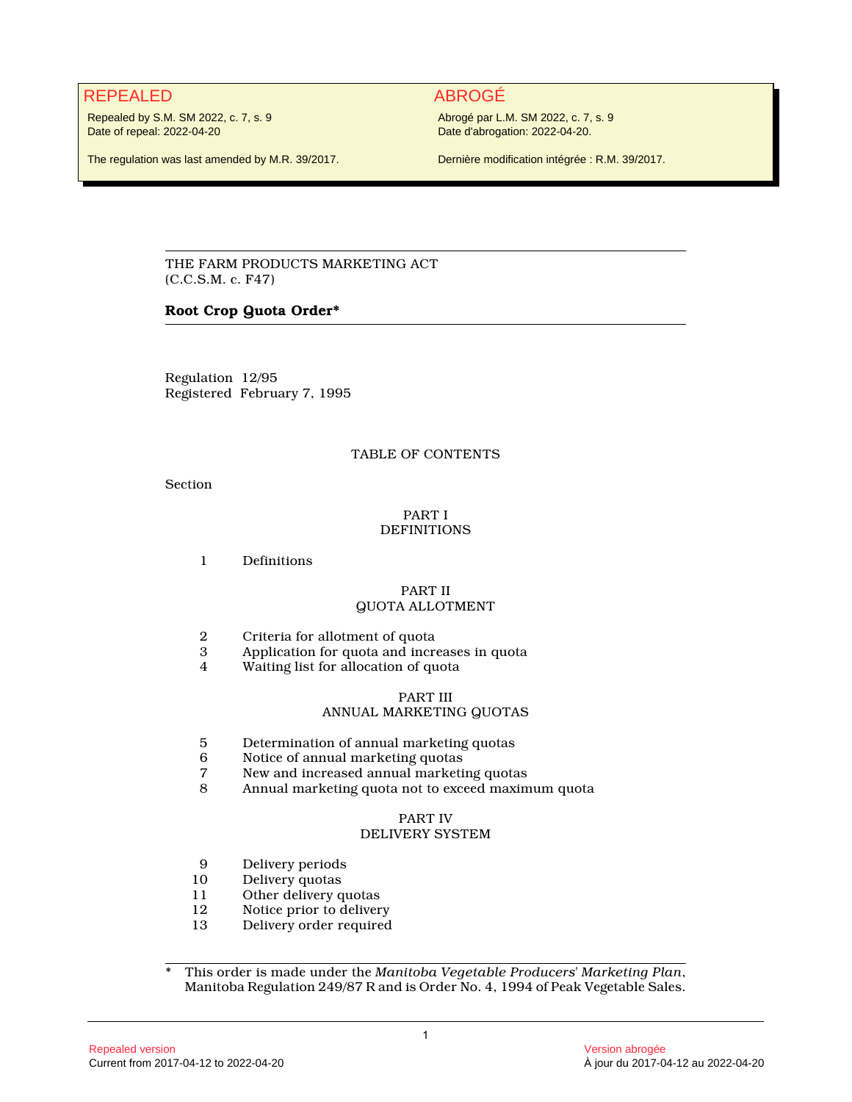# REPEALED ABROGÉ

Repealed by S.M. SM 2022, c. 7, s. 9 Date of repeal: 2022-04-20

The regulation was last amended by M.R. 39/2017.

Abrogé par L.M. SM 2022, c. 7, s. 9 Date d'abrogation: 2022-04-20.

Dernière modification intégrée : R.M. 39/2017.

THE FARM PRODUCTS MARKETING ACT (C.C.S.M. c. F47)

### **Root Crop Quota Order\***

Regulation 12/95 Registered February 7, 1995

#### TABLE OF CONTENTS

Section

#### PART I **DEFINITIONS**

1 Definitions

#### PART II QUOTA ALLOTMENT

- 2 Criteria for allotment of quota<br>3 Application for quota and incre
- 3 Application for quota and increases in quota<br>4 Waiting list for allocation of quota
- Waiting list for allocation of quota

#### PART III

#### ANNUAL MARKETING QUOTAS

- 5 Determination of annual marketing quotas
- 6 Notice of annual marketing quotas
- 7 New and increased annual marketing quotas<br>8 Annual marketing quota not to exceed maxim
- 8 Annual marketing quota not to exceed maximum quota

#### PART IV

### DELIVERY SYSTEM

- 9 Delivery periods<br>10 Delivery quotas
- 10 Delivery quotas<br>11 Other delivery q
- 11 Other delivery quotas<br>12 Notice prior to deliver
- 12 Notice prior to delivery<br>13 Delivery order required
- 13 Delivery order required

\* This order is made under the *Manitoba Vegetable Producers' Marketing Plan*, Manitoba Regulation 249/87 R and is Order No. 4, 1994 of Peak Vegetable Sales.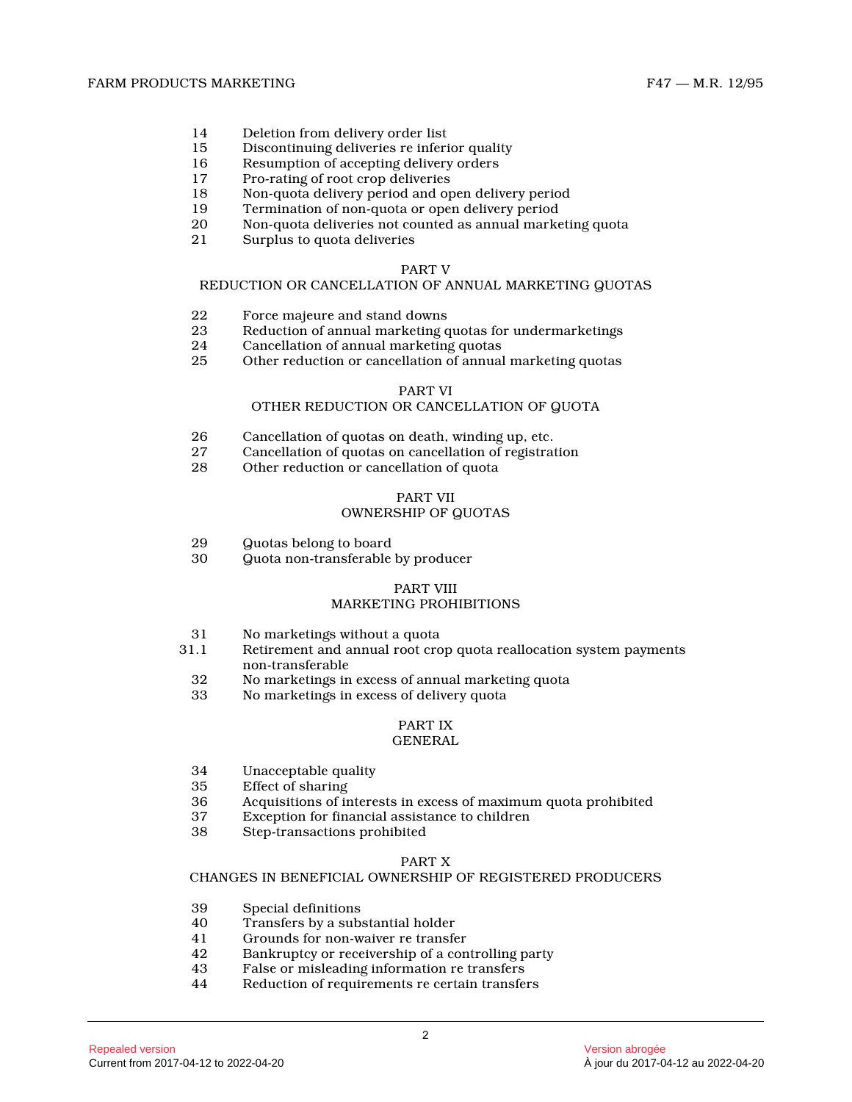- 14 Deletion from delivery order list<br>15 Discontinuing deliveries re inferi
- 15 Discontinuing deliveries re inferior quality<br>16 Resumption of accepting delivery orders
- Resumption of accepting delivery orders
- 17 Pro-rating of root crop deliveries
- 18 Non-quota delivery period and open delivery perio d
- 19 Termination of non-quota or open delivery period
- 20 Non-quota deliveries not counted as annual marketing quota
- Surplus to quota deliveries

#### PART V

#### REDUCTION OR CANCELLATION OF ANNUAL MARKETING QUOTA S

- 22 Force majeure and stand downs<br>23 Reduction of annual marketing c
- 23 Reduction of annual marketing quotas for undermarketings
- 24 Cancellation of annual marketing quotas<br>25 Other reduction or cancellation of annual
- Other reduction or cancellation of annual marketing quotas

### PART VI

### OTHER REDUCTION OR CANCELLATION OF QUOTA

- 26 Cancellation of quotas on death, winding up, etc.<br>27 Cancellation of quotas on cancellation of registrat
- 27 Cancellation of quotas on cancellation of registration
- Other reduction or cancellation of quota

# PART VII

# OWNERSHIP OF QUOTAS

- 29 Quotas belong to board<br>30 Quota non-transferable
- 30 Quota non-transferable by producer

# PART VIII

# MARKETING PROHIBITIONS

- 31 No marketings without a quota
- Retirement and annual root crop quota reallocation system payments non-transferable
- 32 No marketings in excess of annual marketing quota
- 33 No marketings in excess of delivery quota

#### PART IX GENERAL

- 34 Unacceptable quality
- 35 Effect of sharing<br>36 Acquisitions of it
- 36 Acquisitions of interests in excess of maximum quota prohibited
- 37 Exception for financial assistance to children
- 38 Step-transactions prohibited

#### PART X

#### CHANGES IN BENEFICIAL OWNERSHIP OF REGISTERED PRODUCERS

- 39 Special definitions<br>40 Transfers by a sub-
- 40 Transfers by a substantial holder<br>41 Grounds for non-waiver re transfe
- 41 Grounds for non-waiver re transfer<br>42 Bankruptev or receivership of a con
- Bankruptcy or receivership of a controlling party
- 43 False or misleading information re transfers
- Reduction of requirements re certain transfers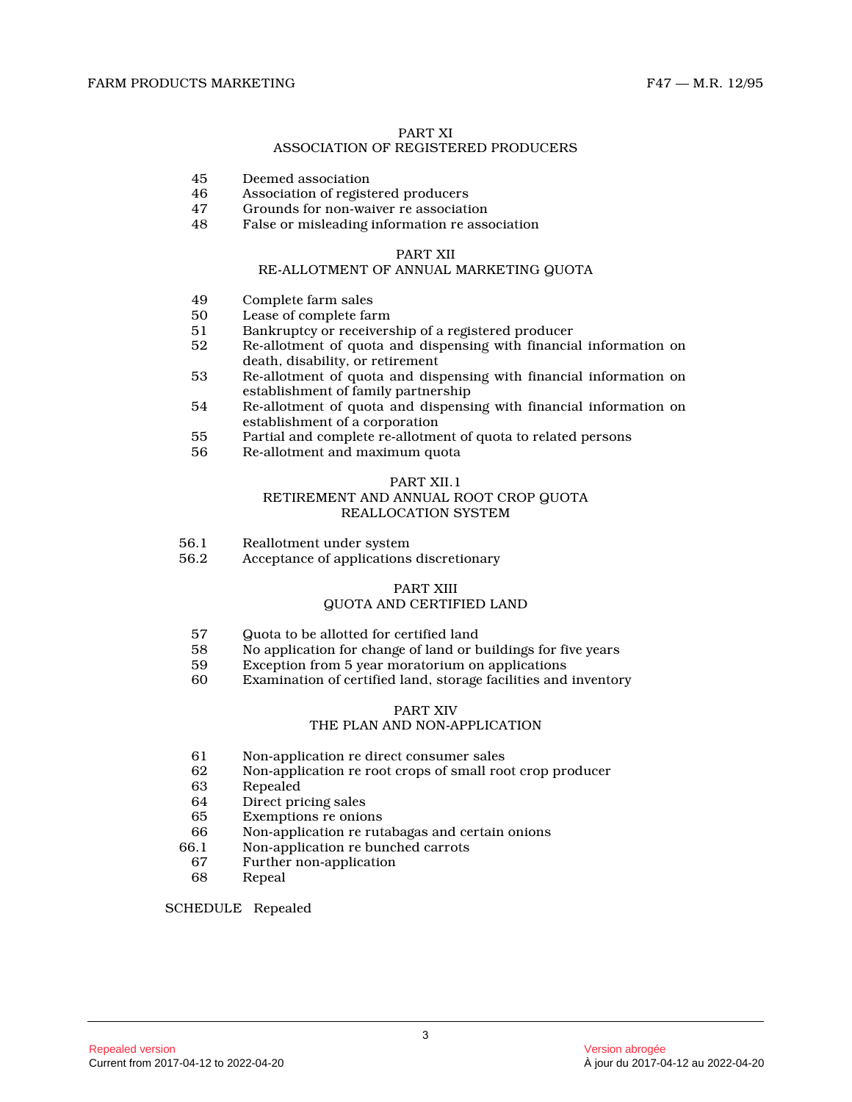#### PART XI

#### ASSOCIATION OF REGISTERED PRODUCERS

- 45 Deemed association
- 46 Association of registered producers<br>47 Grounds for non-waiver re associati
- 47 Grounds for non-waiver re association<br>48 False or misleading information re asso
- False or misleading information re association

#### PART XII

#### RE-ALLOTMENT OF ANNUAL MARKETING QUOTA

- 49 Complete farm sales<br>50 Lease of complete far
- Lease of complete farm
- 51 Bankruptcy or receivership of a registered producer<br>52 Re-allotment of quota and dispensing with financia
- 52 Re-allotment of quota and dispensing with financial information on death, disability, or retirement
- 53 Re-allotment of quota and dispensing with financial information on establishment of family partnership
- 54 Re-allotment of quota and dispensing with financial information on establishment of a corporation
- 55 Partial and complete re-allotment of quota to related persons
- 56 Re-allotment and maximum quota

#### PART XII.1

#### RETIREMENT AND ANNUAL ROOT CROP QUOTA REALLOCATION SYSTEM

- 56.1 Reallotment under system<br>56.2 Acceptance of applications
- Acceptance of applications discretionary

# PART XIII

# QUOTA AND CERTIFIED LAND

- 57 Guota to be allotted for certified land<br>58 No application for change of land or b
- 58 No application for change of land or buildings for five years<br>59 Exception from 5 year moratorium on applications
- 59 Exception from 5 year moratorium on applications
- Examination of certified land, storage facilities and inventory

#### PART XIV

#### THE PLAN AND NON-APPLICATION

- 61 Non-application re direct consumer sales<br>62 Non-application re root crops of small root
- Non-application re root crops of small root crop producer
- 63 Repealed
- Direct pricing sales
- 65 Exemptions re onions
- Non-application re rutabagas and certain onions
- 66.1 Non-application re bunched carrots
- 67 Further non-application
- 68 Repeal

#### SCHEDULE Repealed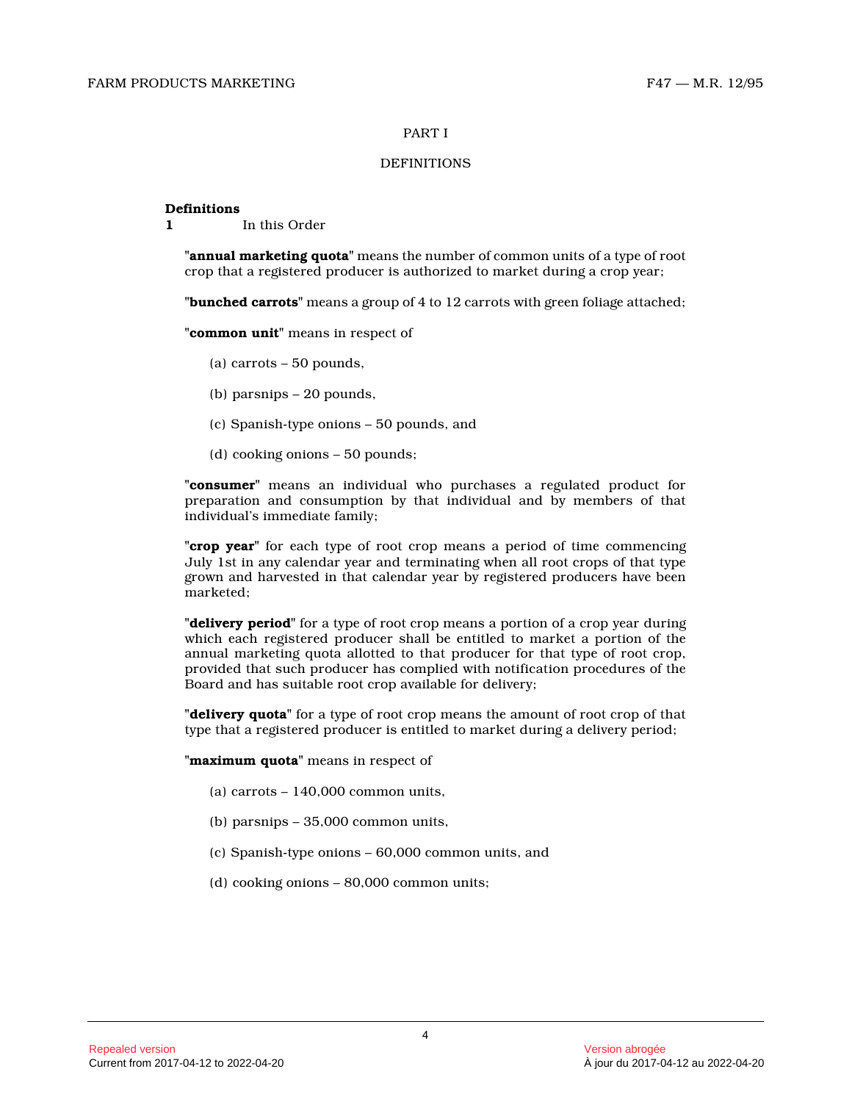#### PART I

#### **DEFINITIONS**

#### **Definitions**

**1** In this Order

**"annual marketing quota"** means the number of common units of a type of root crop that a registered producer is authorized to market during a crop year;

**"bunched carrots"** means a group of 4 to 12 carrots with green foliage attached;

**"common unit"** means in respect of

- (a) carrots 50 pounds,
- (b) parsnips 20 pounds,
- (c) Spanish-type onions 50 pounds, and
- (d) cooking onions 50 pounds;

**"consumer"** means an individual who purchases a regulated product for preparation and consumption by that individual and by members of that individual's immediate family;

**"crop year"** for each type of root crop means a period of time commencing July 1st in any calendar year and terminating when all root crops of that type grown and harvested in that calendar year by registered producers have been marketed;

**"delivery period"** for a type of root crop means a portion of a crop year during which each registered producer shall be entitled to market a portion of the annual marketing quota allotted to that producer for that type of root crop, provided that such producer has complied with notification procedures of the Board and has suitable root crop available for delivery;

**"delivery quota"** for a type of root crop means the amount of root crop of that type that a registered producer is entitled to market during a delivery period;

**"maximum quota"** means in respect of

- (a) carrots  $-140,000$  common units,
- (b) parsnips 35,000 common units,
- (c) Spanish-type onions 60,000 common units, and
- (d) cooking onions 80,000 common units;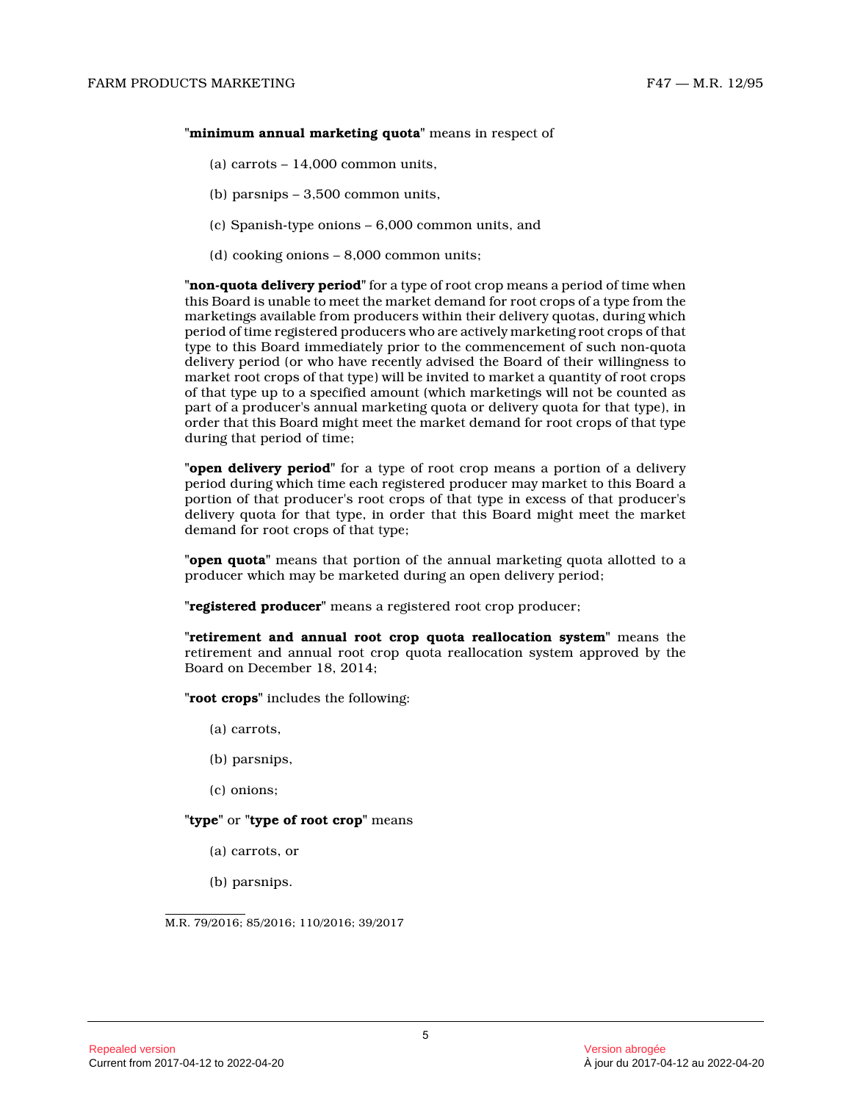#### **"minimum annual marketing quota"** means in respect of

- (a) carrots  $-14,000$  common units,
- (b) parsnips 3,500 common units,
- (c) Spanish-type onions 6,000 common units, and
- (d) cooking onions 8,000 common units;

**"non-quota delivery period"** for a type of root crop means a period of time whe n this Board is unable to meet the market demand for root crops of a type from the marketings available from producers within their delivery quotas, during which period of time registered producers who are actively marketing root crops of that type to this Board immediately prior to the commencement of such non-quota delivery period (or who have recently advised the Board of their willingness to market root crops of that type) will be invited to market a quantity of root crops of that type up to a specified amount (which marketings will not be counted as part of a producer's annual marketing quota or delivery quota for that type), in order that this Board might meet the market demand for root crops of that type during that period of time;

**"open delivery period"** for a type of root crop means a portion of a delivery period during which time each registered producer may market to this Board a portion of that producer's root crops of that type in excess of that producer's delivery quota for that type, in order that this Board might meet the market demand for root crops of that type;

**"open quota"** means that portion of the annual marketing quota allotted to a producer which may be marketed during an open delivery period;

**"registered producer"** means a registered root crop producer;

**"retirement and annual root crop quota reallocation system"** means the retirement and annual root crop quota reallocation system approved by the Board on December 18, 2014;

**"root crops"** includes the following:

- (a) carrots,
- (b) parsnips,
- (c) onions;

#### **"type"** or **"type of root crop"** means

- (a) carrots, or
- (b) parsnips.

M.R. 79/2016; 85/2016; 110/2016; 39/2017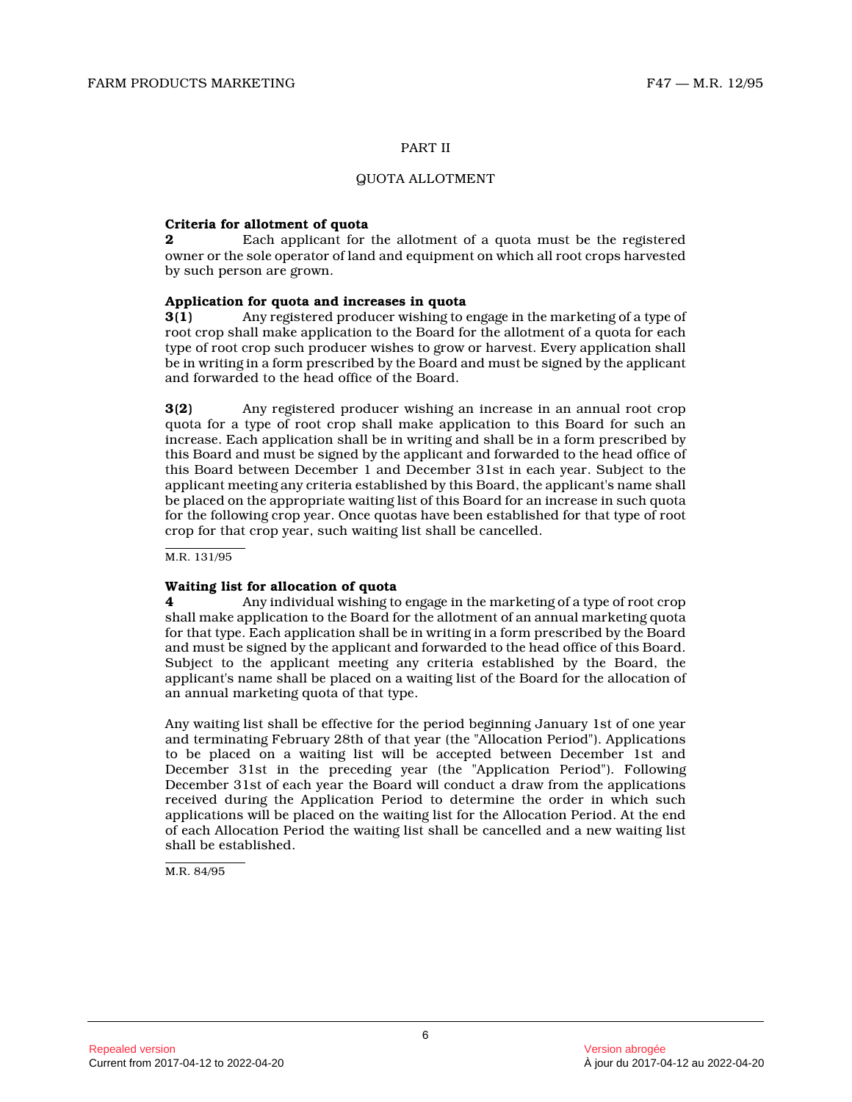#### PART II

#### QUOTA ALLOTMENT

#### **Criteria for allotment of quota**

**2** Each applicant for the allotment of a quota must be the registered owner or the sole operator of land and equipment on which all root crops harvested by such person are grown.

#### **Application for quota and increases in quota**

**3(1)** Any registered producer wishing to engage in the marketing of a type of root crop shall make application to the Board for the allotment of a quota for each type of root crop such producer wishes to grow or harvest. Every application shall be in writing in a form prescribed by the Board and must be signed by the applicant and forwarded to the head office of the Board.

**3(2)** Any registered producer wishing an increase in an annual root crop quota for a type of root crop shall make application to this Board for such an increase. Each application shall be in writing and shall be in a form prescribed by this Board and must be signed by the applicant and forwarded to the head office of this Board between December 1 and December 31st in each year. Subject to the applicant meeting any criteria established by this Board, the applicant's name shall be placed on the appropriate waiting list of this Board for an increase in such quota for the following crop year. Once quotas have been established for that type of root crop for that crop year, such waiting list shall be cancelled.

M.R. 131/95

#### **Waiting list for allocation of quota**

**4** Any individual wishing to engage in the marketing of a type of root crop shall make application to the Board for the allotment of an annual marketing quota for that type. Each application shall be in writing in a form prescribed by the Board and must be signed by the applicant and forwarded to the head office of this Board. Subject to the applicant meeting any criteria established by the Board, the applicant's name shall be placed on a waiting list of the Board for the allocation of an annual marketing quota of that type.

Any waiting list shall be effective for the period beginning January 1st of one year and terminating February 28th of that year (the "Allocation Period"). Applications to be placed on a waiting list will be accepted between December 1st and December 31st in the preceding year (the "Application Period"). Following December 31st of each year the Board will conduct a draw from the applications received during the Application Period to determine the order in which such applications will be placed on the waiting list for the Allocation Period. At the end of each Allocation Period the waiting list shall be cancelled and a new waiting list shall be established.

M.R. 84/95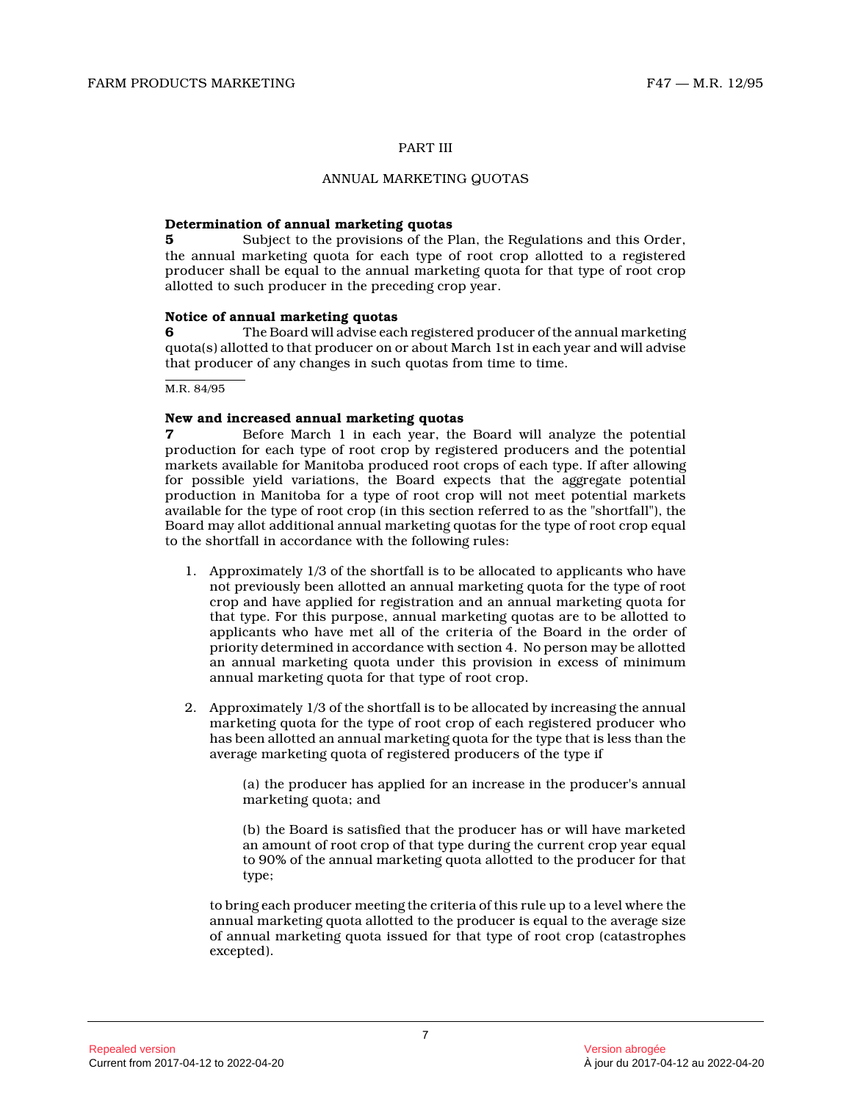#### PART III

#### ANNUAL MARKETING QUOTAS

#### **Determination of annual marketing quotas**

**5** Subject to the provisions of the Plan, the Regulations and this Order, the annual marketing quota for each type of root crop allotted to a registered producer shall be equal to the annual marketing quota for that type of root crop allotted to such producer in the preceding crop year.

#### **Notice of annual marketing quotas**

**6** The Board will advise each registered producer of the annual marketing quota(s) allotted to that producer on or about March 1st in each year and will advise that producer of any changes in such quotas from time to time.

M.R. 84/95

#### **New and increased annual marketing quotas**

**7** Before March 1 in each year, the Board will analyze the potential production for each type of root crop by registered producers and the potential markets available for Manitoba produced root crops of each type. If after allowing for possible yield variations, the Board expects that the aggregate potential production in Manitoba for a type of root crop will not meet potential markets available for the type of root crop (in this section referred to as the "shortfall"), the Board may allot additional annual marketing quotas for the type of root crop equal to the shortfall in accordance with the following rules:

- 1. Approximately 1/3 of the shortfall is to be allocated to applicants who have not previously been allotted an annual marketing quota for the type of root crop and have applied for registration and an annual marketing quota for that type. For this purpose, annual marketing quotas are to be allotted to applicants who have met all of the criteria of the Board in the order of priority determined in accordance with section 4. No person may be allotted an annual marketing quota under this provision in excess of minimum annual marketing quota for that type of root crop.
- 2. Approximately 1/3 of the shortfall is to be allocated by increasing the annual marketing quota for the type of root crop of each registered producer who has been allotted an annual marketing quota for the type that is less than the average marketing quota of registered producers of the type if

(a) the producer has applied for an increase in the producer's annual marketing quota; and

(b) the Board is satisfied that the producer has or will have marketed an amount of root crop of that type during the current crop year equal to 90% of the annual marketing quota allotted to the producer for that type;

to bring each producer meeting the criteria of this rule up to a level where the annual marketing quota allotted to the producer is equal to the average size of annual marketing quota issued for that type of root crop (catastrophes excepted).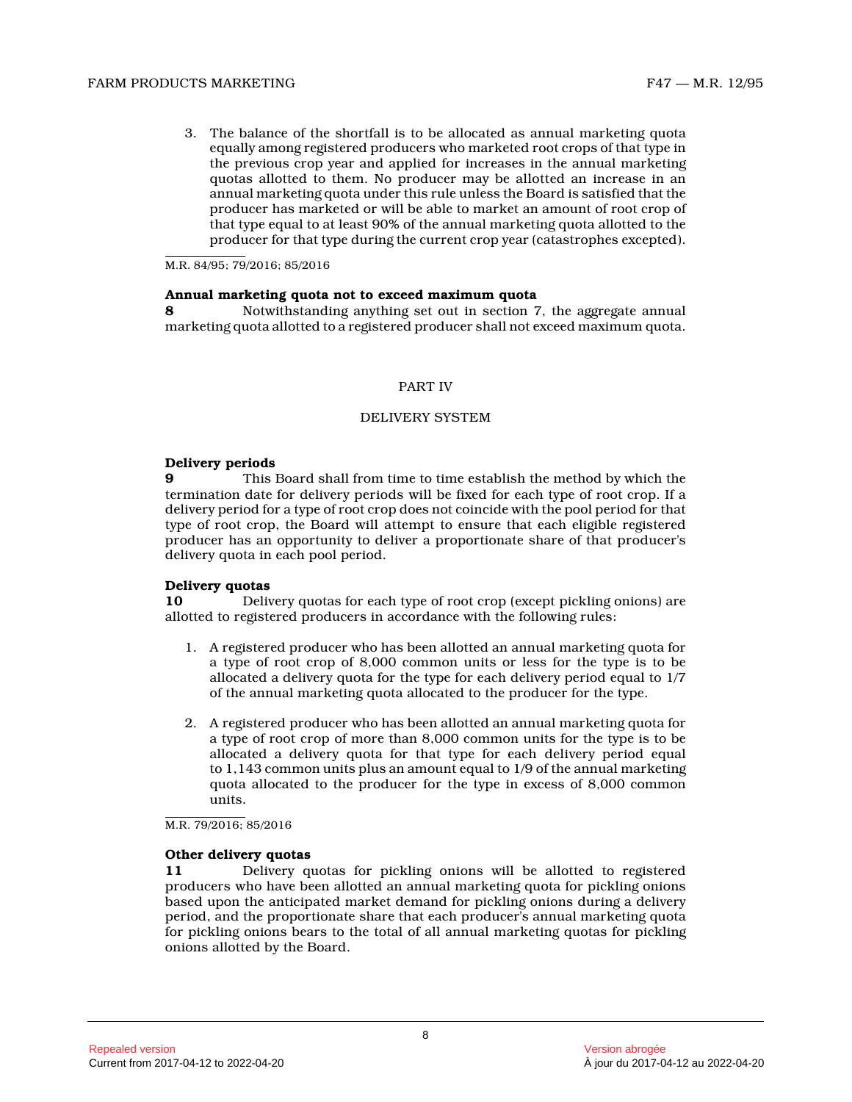3. The balance of the shortfall is to be allocated as annual marketing quota equally among registered producers who marketed root crops of that type in the previous crop year and applied for increases in the annual marketing quotas allotted to them. No producer may be allotted an increase in an annual marketing quota under this rule unless the Board is satisfied that the producer has marketed or will be able to market an amount of root crop of that type equal to at least 90% of the annual marketing quota allotted to the producer for that type during the current crop year (catastrophes excepted).

M.R. 84/95; 79/2016; 85/2016

#### **Annual marketing quota not to exceed maximum quota**

**8** Notwithstanding anything set out in section 7, the aggregate annual marketing quota allotted to a registered producer shall not exceed maximum quota.

#### PART IV

#### DELIVERY SYSTEM

#### **Delivery periods**

**9** This Board shall from time to time establish the method by which the termination date for delivery periods will be fixed for each type of root crop. If a delivery period for a type of root crop does not coincide with the pool period for that type of root crop, the Board will attempt to ensure that each eligible registered producer has an opportunity to deliver a proportionate share of that producer's delivery quota in each pool period.

#### **Delivery quotas**

**10** Delivery quotas for each type of root crop (except pickling onions) are allotted to registered producers in accordance with the following rules:

- 1. A registered producer who has been allotted an annual marketing quota for a type of root crop of 8,000 common units or less for the type is to be allocated a delivery quota for the type for each delivery period equal to 1/7 of the annual marketing quota allocated to the producer for the type.
- 2. A registered producer who has been allotted an annual marketing quota for a type of root crop of more than 8,000 common units for the type is to be allocated a delivery quota for that type for each delivery period equal to 1,143 common units plus an amount equal to 1/9 of the annual marketing quota allocated to the producer for the type in excess of 8,000 common units.

M.R. 79/2016; 85/2016

#### **Other delivery quotas**

**11** Delivery quotas for pickling onions will be allotted to registered producers who have been allotted an annual marketing quota for pickling onions based upon the anticipated market demand for pickling onions during a delivery period, and the proportionate share that each producer's annual marketing quota for pickling onions bears to the total of all annual marketing quotas for pickling onions allotted by the Board.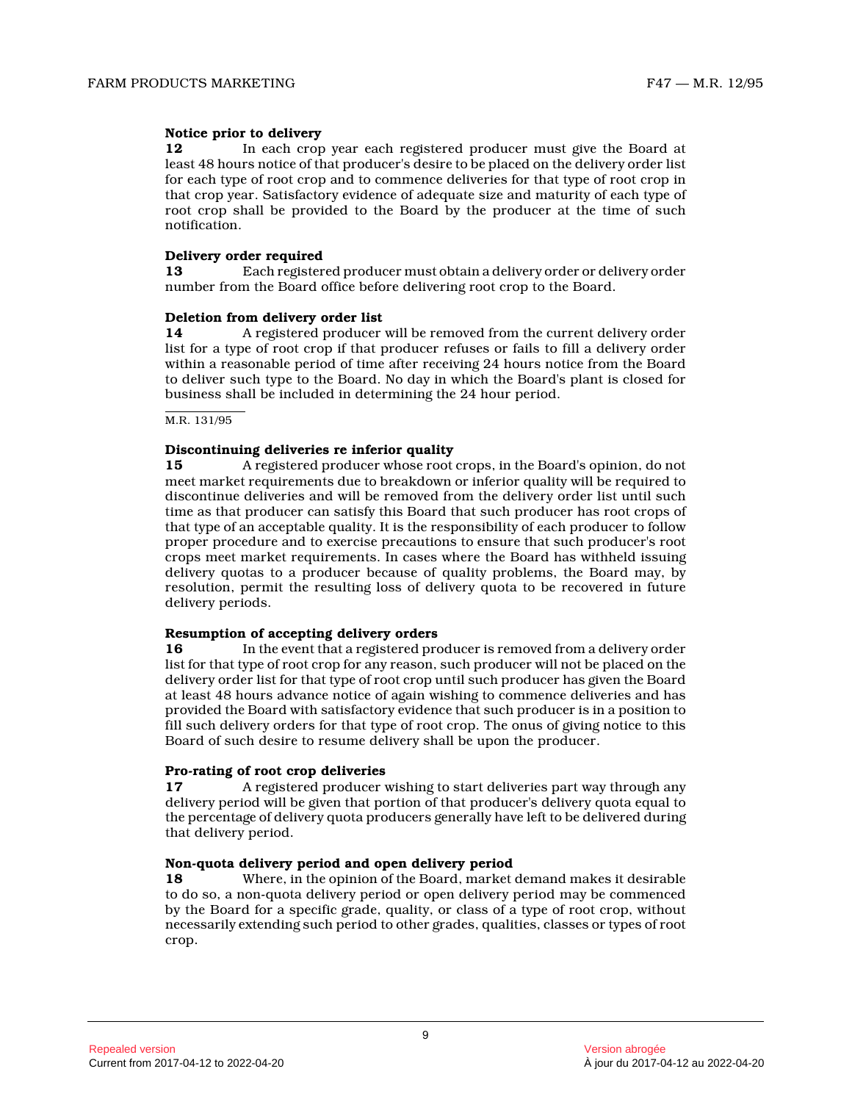#### **Notice prior to delivery**

**12** In each crop year each registered producer must give the Board at least 48 hours notice of that producer's desire to be placed on the delivery order list for each type of root crop and to commence deliveries for that type of root crop in that crop year. Satisfactory evidence of adequate size and maturity of each type of root crop shall be provided to the Board by the producer at the time of such notification.

#### **Delivery order required**

**13** Each registered producer must obtain a delivery order or delivery order number from the Board office before delivering root crop to the Board.

#### **Deletion from delivery order list**

**14** A registered producer will be removed from the current delivery order list for a type of root crop if that producer refuses or fails to fill a delivery order within a reasonable period of time after receiving 24 hours notice from the Board to deliver such type to the Board. No day in which the Board's plant is closed for business shall be included in determining the 24 hour period.

M.R. 131/95

#### **Discontinuing deliveries re inferior quality**

**15** A registered producer whose root crops, in the Board's opinion, do not meet market requirements due to breakdown or inferior quality will be required to discontinue deliveries and will be removed from the delivery order list until such time as that producer can satisfy this Board that such producer has root crops of that type of an acceptable quality. It is the responsibility of each producer to follow proper procedure and to exercise precautions to ensure that such producer's root crops meet market requirements. In cases where the Board has withheld issuing delivery quotas to a producer because of quality problems, the Board may, by resolution, permit the resulting loss of delivery quota to be recovered in future delivery periods.

#### **Resumption of accepting delivery orders**

**16** In the event that a registered producer is removed from a delivery order list for that type of root crop for any reason, such producer will not be placed on the delivery order list for that type of root crop until such producer has given the Board at least 48 hours advance notice of again wishing to commence deliveries and has provided the Board with satisfactory evidence that such producer is in a position to fill such delivery orders for that type of root crop. The onus of giving notice to this Board of such desire to resume delivery shall be upon the producer.

#### **Pro-rating of root crop deliveries**

**17** A registered producer wishing to start deliveries part way through any delivery period will be given that portion of that producer's delivery quota equal to the percentage of delivery quota producers generally have left to be delivered during that delivery period.

#### **Non-quota delivery period and open delivery period**

**18** Where, in the opinion of the Board, market demand makes it desirable to do so, a non-quota delivery period or open delivery period may be commenced by the Board for a specific grade, quality, or class of a type of root crop, without necessarily extending such period to other grades, qualities, classes or types of root crop.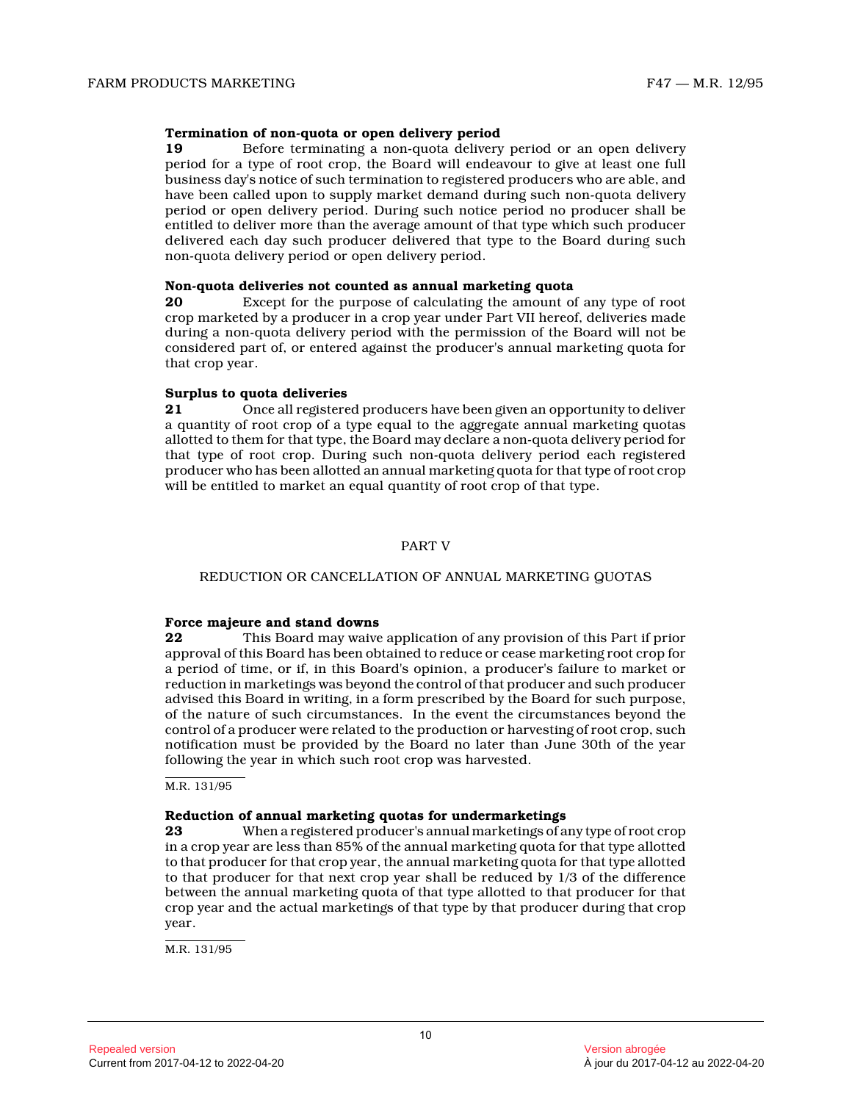#### **Termination of non-quota or open delivery period**

**19** Before terminating a non-quota delivery period or an open delivery period for a type of root crop, the Board will endeavour to give at least one full business day's notice of such termination to registered producers who are able, and have been called upon to supply market demand during such non-quota delivery period or open delivery period. During such notice period no producer shall be entitled to deliver more than the average amount of that type which such producer delivered each day such producer delivered that type to the Board during such non-quota delivery period or open delivery period.

#### **Non-quota deliveries not counted as annual marketing quota**

**20** Except for the purpose of calculating the amount of any type of root crop marketed by a producer in a crop year under Part VII hereof, deliveries made during a non-quota delivery period with the permission of the Board will not be considered part of, or entered against the producer's annual marketing quota for that crop year.

#### **Surplus to quota deliveries**

**21** Once all registered producers have been given an opportunity to deliver a quantity of root crop of a type equal to the aggregate annual marketing quotas allotted to them for that type, the Board may declare a non-quota delivery period for that type of root crop. During such non-quota delivery period each registered producer who has been allotted an annual marketing quota for that type of root crop will be entitled to market an equal quantity of root crop of that type.

#### PART V

#### REDUCTION OR CANCELLATION OF ANNUAL MARKETING QUOTA S

#### **Force majeure and stand downs**

**22** This Board may waive application of any provision of this Part if prior approval of this Board has been obtained to reduce or cease marketing root crop for a period of time, or if, in this Board's opinion, a producer's failure to market or reduction in marketings was beyond the control of that producer and such producer advised this Board in writing, in a form prescribed by the Board for such purpose, of the nature of such circumstances. In the event the circumstances beyond the control of a producer were related to the production or harvesting of root crop, such notification must be provided by the Board no later than June 30th of the year following the year in which such root crop was harvested.

M.R. 131/95

#### **Reduction of annual marketing quotas for undermarketings**

**23** When a registered producer's annual marketings of any type of root crop in a crop year are less than 85% of the annual marketing quota for that type allotted to that producer for that crop year, the annual marketing quota for that type allotted to that producer for that next crop year shall be reduced by 1/3 of the difference between the annual marketing quota of that type allotted to that producer for that crop year and the actual marketings of that type by that producer during that crop year.

M.R. 131/95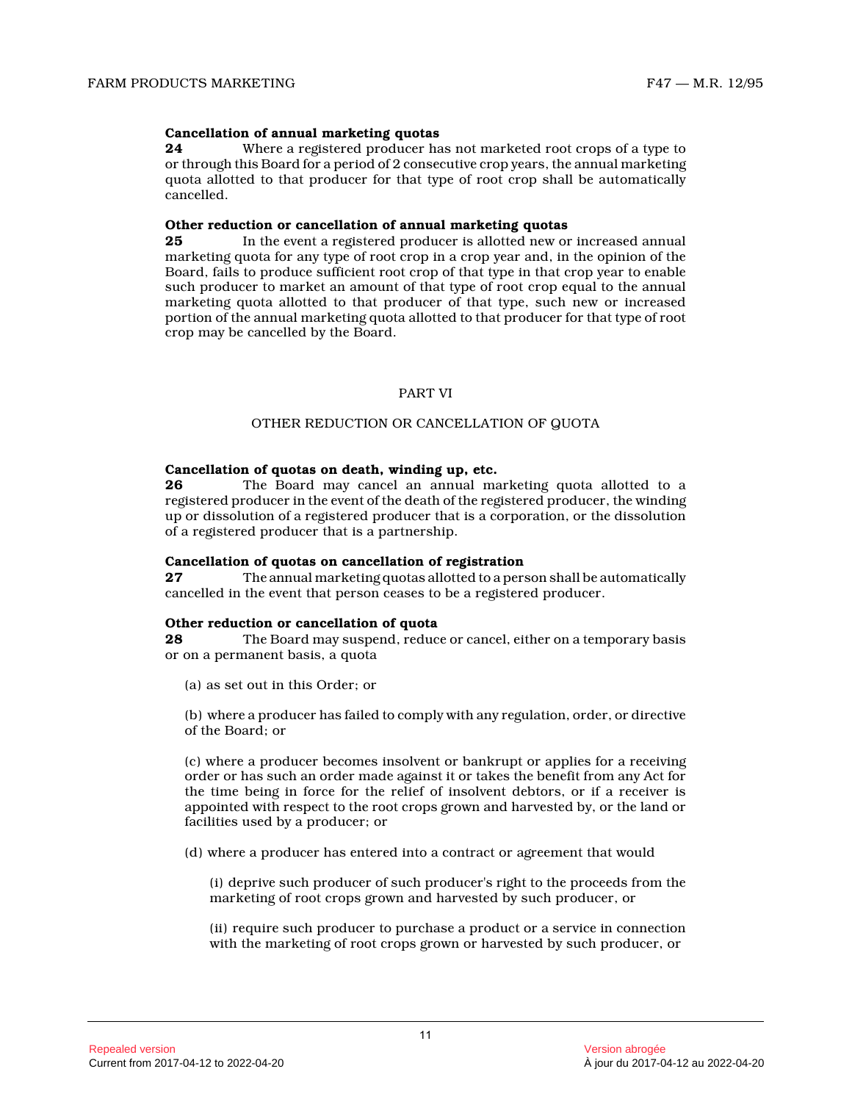#### **Cancellation of annual marketing quotas**

**24** Where a registered producer has not marketed root crops of a type to or through this Board for a period of 2 consecutive crop years, the annual marketing quota allotted to that producer for that type of root crop shall be automatically cancelled.

# **Other reduction or cancellation of annual marketing quotas**<br>25 In the event a registered producer is allotted new or

**25** In the event a registered producer is allotted new or increased annual marketing quota for any type of root crop in a crop year and, in the opinion of the Board, fails to produce sufficient root crop of that type in that crop year to enable such producer to market an amount of that type of root crop equal to the annual marketing quota allotted to that producer of that type, such new or increased portion of the annual marketing quota allotted to that producer for that type of root crop may be cancelled by the Board.

#### PART VI

#### OTHER REDUCTION OR CANCELLATION OF QUOTA

#### **Cancellation of quotas on death, winding up, etc.**

**26** The Board may cancel an annual marketing quota allotted to a registered producer in the event of the death of the registered producer, the winding up or dissolution of a registered producer that is a corporation, or the dissolution of a registered producer that is a partnership.

#### **Cancellation of quotas on cancellation of registration**

**27** The annual marketing quotas allotted to a person shall be automatically cancelled in the event that person ceases to be a registered producer.

#### **Other reduction or cancellation of quota**

**28** The Board may suspend, reduce or cancel, either on a temporary basis or on a permanent basis, a quota

(a) as set out in this Order; or

(b) where a producer has failed to comply with any regulation, order, or directive of the Board; or

(c) where a producer becomes insolvent or bankrupt or applies for a receiving order or has such an order made against it or takes the benefit from any Act for the time being in force for the relief of insolvent debtors, or if a receiver is appointed with respect to the root crops grown and harvested by, or the land or facilities used by a producer; or

(d) where a producer has entered into a contract or agreement that would

(i) deprive such producer of such producer's right to the proceeds from the marketing of root crops grown and harvested by such producer, or

(ii) require such producer to purchase a product or a service in connection with the marketing of root crops grown or harvested by such producer, or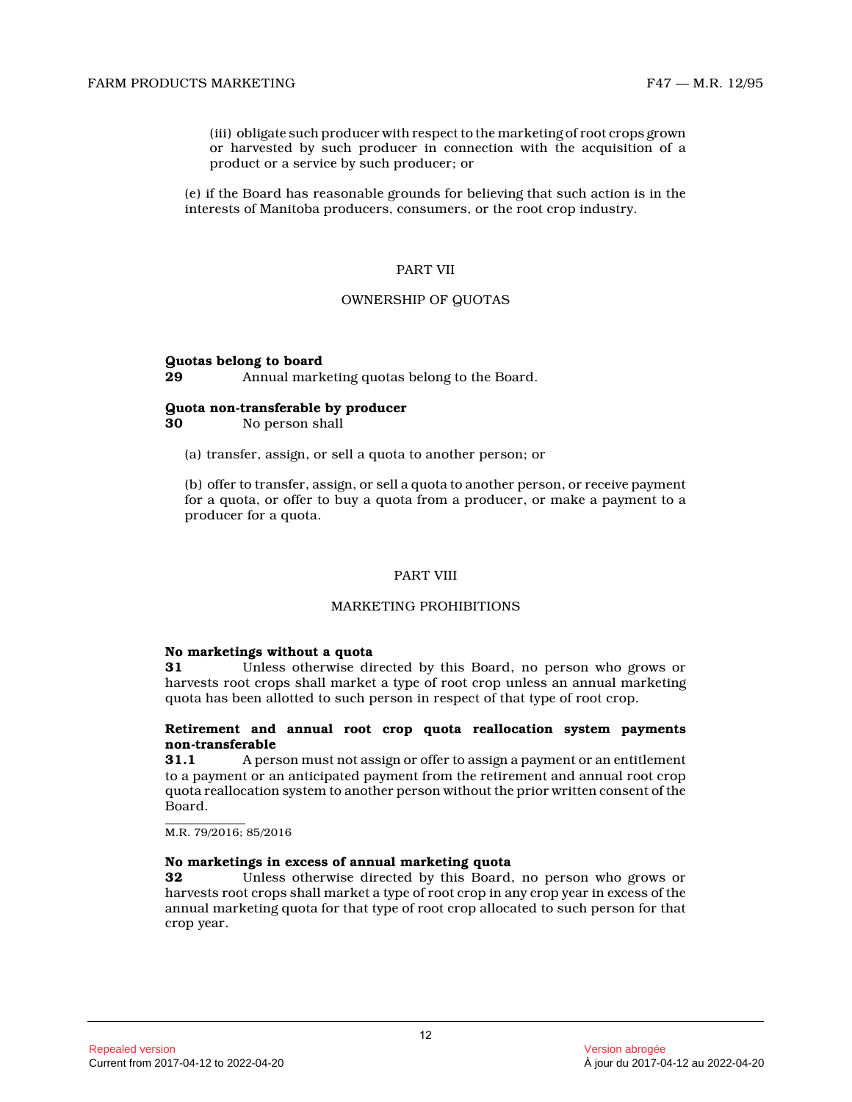(iii) obligate such producer with respect to the marketing of root crops grown or harvested by such producer in connection with the acquisition of a product or a service by such producer; or

(e) if the Board has reasonable grounds for believing that such action is in the interests of Manitoba producers, consumers, or the root crop industry.

#### PART VII

#### OWNERSHIP OF QUOTAS

#### **Quotas belong to board**

```
29 Annual marketing quotas belong to the Board.
```
#### **Quota non-transferable by producer**

**30** No person shall

(a) transfer, assign, or sell a quota to another person; or

(b) offer to transfer, assign, or sell a quota to another person, or receive payment for a quota, or offer to buy a quota from a producer, or make a payment to a producer for a quota.

#### PART VIII

#### MARKETING PROHIBITIONS

#### **No marketings without a quota**

**31** Unless otherwise directed by this Board, no person who grows or harvests root crops shall market a type of root crop unless an annual marketing quota has been allotted to such person in respect of that type of root crop.

#### **Retirement and annual root crop quota reallocation system payments non-transferable**

**31.1** A person must not assign or offer to assign a payment or an entitlement to a payment or an anticipated payment from the retirement and annual root crop quota reallocation system to another person without the prior written consent of the Board.

M.R. 79/2016; 85/2016

#### **No marketings in excess of annual marketing quota**

**32** Unless otherwise directed by this Board, no person who grows or harvests root crops shall market a type of root crop in any crop year in excess of the annual marketing quota for that type of root crop allocated to such person for that crop year.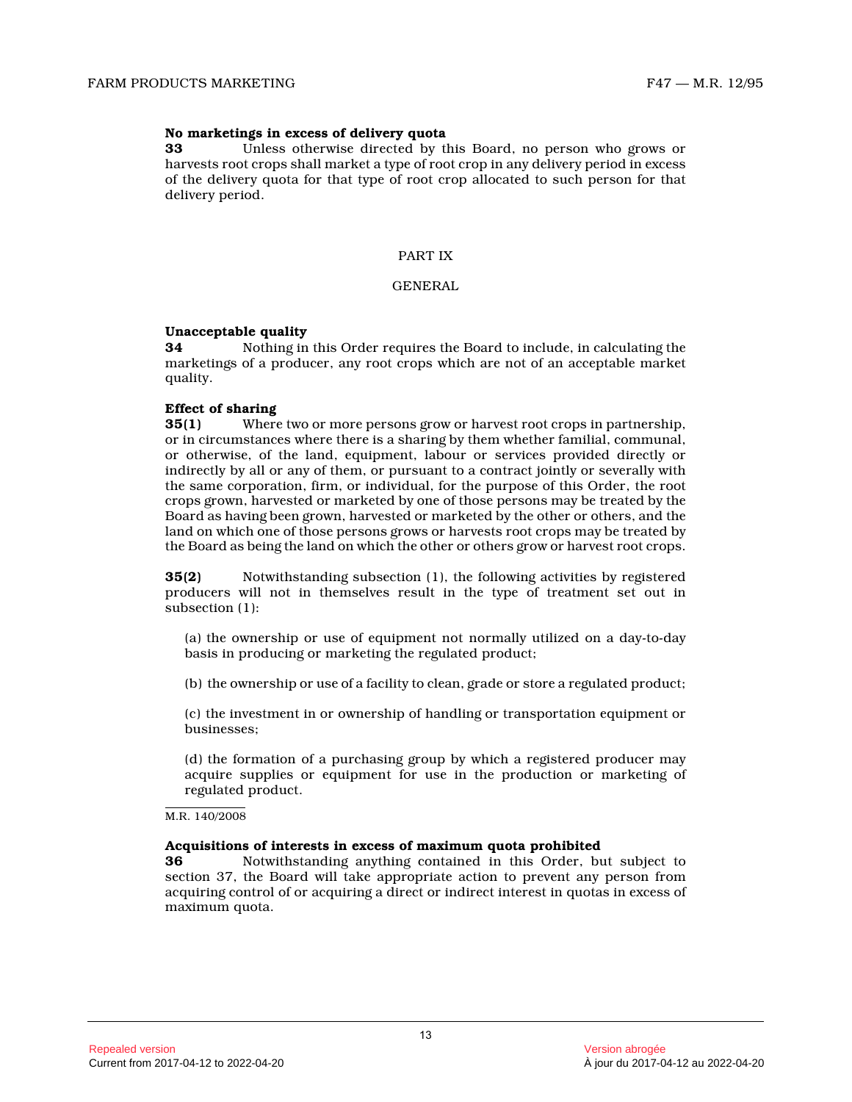#### **No marketings in excess of delivery quota**

**33** Unless otherwise directed by this Board, no person who grows or harvests root crops shall market a type of root crop in any delivery period in excess of the delivery quota for that type of root crop allocated to such person for that delivery period.

#### PART IX

### GENERAL

#### **Unacceptable quality**

**34** Nothing in this Order requires the Board to include, in calculating the marketings of a producer, any root crops which are not of an acceptable market quality.

#### **Effect of sharing**

**35(1)** Where two or more persons grow or harvest root crops in partnership, or in circumstances where there is a sharing by them whether familial, communal, or otherwise, of the land, equipment, labour or services provided directly or indirectly by all or any of them, or pursuant to a contract jointly or severally with the same corporation, firm, or individual, for the purpose of this Order, the root crops grown, harvested or marketed by one of those persons may be treated by the Board as having been grown, harvested or marketed by the other or others, and the land on which one of those persons grows or harvests root crops may be treated by the Board as being the land on which the other or others grow or harvest root crops.

**35(2)** Notwithstanding subsection (1), the following activities by registered producers will not in themselves result in the type of treatment set out in subsection (1):

(a) the ownership or use of equipment not normally utilized on a day-to-day basis in producing or marketing the regulated product;

(b) the ownership or use of a facility to clean, grade or store a regulated product;

(c) the investment in or ownership of handling or transportation equipment or businesses;

(d) the formation of a purchasing group by which a registered producer may acquire supplies or equipment for use in the production or marketing of regulated product.

M.R. 140/2008

#### **Acquisitions of interests in excess of maximum quota prohibited**

**36** Notwithstanding anything contained in this Order, but subject to section 37, the Board will take appropriate action to prevent any person from acquiring control of or acquiring a direct or indirect interest in quotas in excess of maximum quota.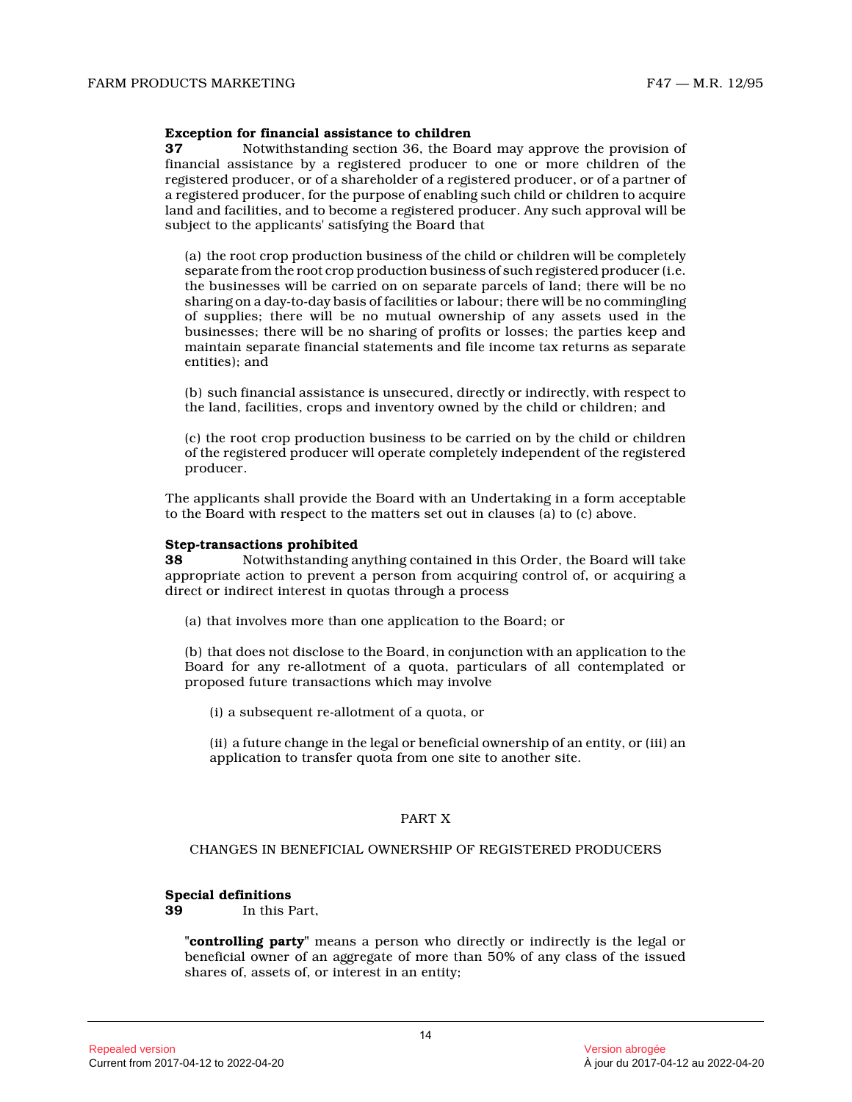#### **Exception for financial assistance to children**

**37** Notwithstanding section 36, the Board may approve the provision of financial assistance by a registered producer to one or more children of the registered producer, or of a shareholder of a registered producer, or of a partner of a registered producer, for the purpose of enabling such child or children to acquire land and facilities, and to become a registered producer. Any such approval will be subject to the applicants' satisfying the Board tha t

(a) the root crop production business of the child or children will be completely separate from the root crop production business of such registered producer (i.e. the businesses will be carried on on separate parcels of land; there will be no sharing on a day-to-day basis of facilities or labour; there will be no commingling of supplies; there will be no mutual ownership of any assets used in the businesses; there will be no sharing of profits or losses; the parties keep and maintain separate financial statements and file income tax returns as separate entities); and

(b) such financial assistance is unsecured, directly or indirectly, with respect to the land, facilities, crops and inventory owned by the child or children; and

(c) the root crop production business to be carried on by the child or children of the registered producer will operate completely independent of the registered producer.

The applicants shall provide the Board with an Undertaking in a form acceptable to the Board with respect to the matters set out in clauses (a) to (c) above.

#### **Step-transactions prohibited**

**38** Notwithstanding anything contained in this Order, the Board will take appropriate action to prevent a person from acquiring control of, or acquiring a direct or indirect interest in quotas through a process

(a) that involves more than one application to the Board; or

(b) that does not disclose to the Board, in conjunction with an application to the Board for any re-allotment of a quota, particulars of all contemplated or proposed future transactions which may involve

(i) a subsequent re-allotment of a quota, or

(ii) a future change in the legal or beneficial ownership of an entity, or (iii) an application to transfer quota from one site to another site.

#### PART X

#### CHANGES IN BENEFICIAL OWNERSHIP OF REGISTERED PRODUCERS

# **Special definitions**<br>**39** In this F

**39** In this Part,

**"controlling party"** means a person who directly or indirectly is the legal or beneficial owner of an aggregate of more than 50% of any class of the issued shares of, assets of, or interest in an entity;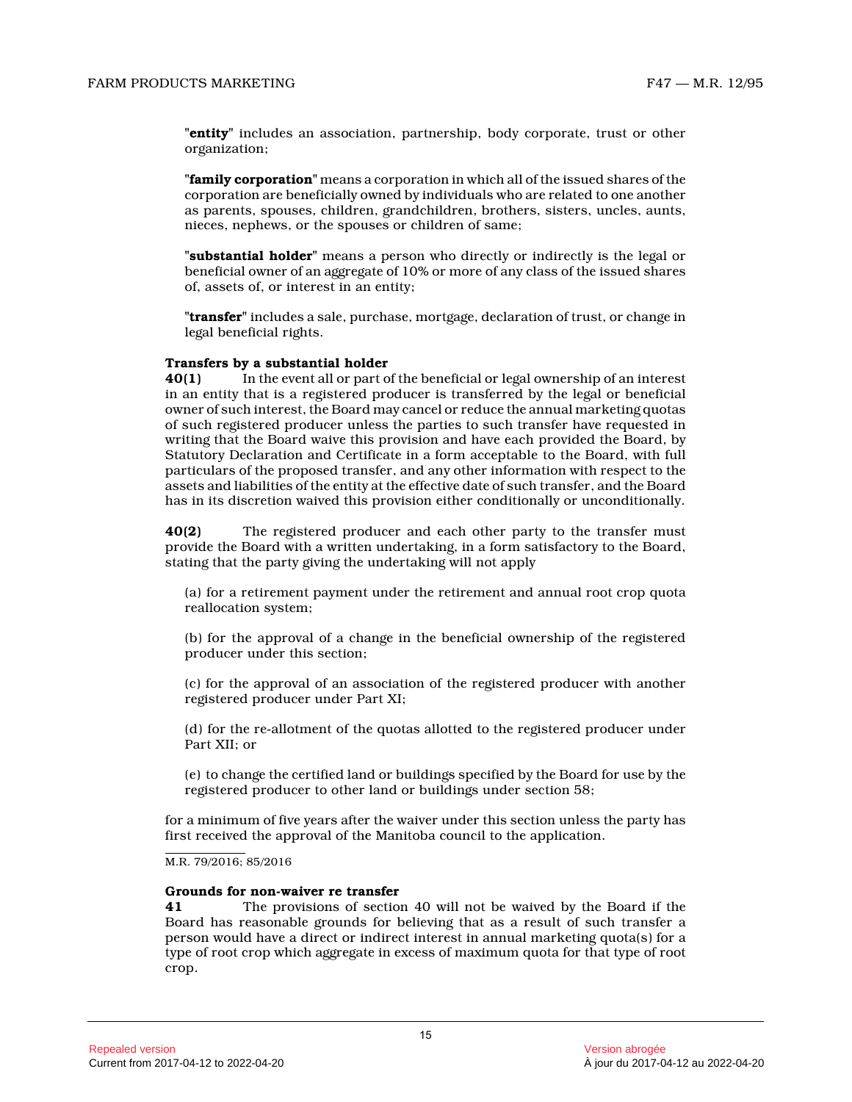**"entity"** includes an association, partnership, body corporate, trust or other organization;

**"family corporation"** means a corporation in which all of the issued shares of the corporation are beneficially owned by individuals who are related to one another as parents, spouses, children, grandchildren, brothers, sisters, uncles, aunts, nieces, nephews, or the spouses or children of same ;

**"substantial holder"** means a person who directly or indirectly is the legal or beneficial owner of an aggregate of 10% or more of any class of the issued shares of, assets of, or interest in an entity;

**"transfer"** includes a sale, purchase, mortgage, declaration of trust, or change in legal beneficial rights.

#### **Transfers by a substantial holder**

**40(1)** In the event all or part of the beneficial or legal ownership of an interest in an entity that is a registered producer is transferred by the legal or beneficial owner of such interest, the Board may cancel or reduce the annual marketing quotas of such registered producer unless the parties to such transfer have requested in writing that the Board waive this provision and have each provided the Board, by Statutory Declaration and Certificate in a form acceptable to the Board, with full particulars of the proposed transfer, and any other information with respect to the assets and liabilities of the entity at the effective date of such transfer, and the Board has in its discretion waived this provision either conditionally or unconditionally.

**40(2)** The registered producer and each other party to the transfer must provide the Board with a written undertaking, in a form satisfactory to the Board, stating that the party giving the undertaking will not apply

(a) for a retirement payment under the retirement and annual root crop quota reallocation system;

(b) for the approval of a change in the beneficial ownership of the registered producer under this section;

(c) for the approval of an association of the registered producer with another registered producer under Part XI;

(d) for the re-allotment of the quotas allotted to the registered producer under Part XII; or

(e) to change the certified land or buildings specified by the Board for use by the registered producer to other land or buildings under section 58;

for a minimum of five years after the waiver under this section unless the party has first received the approval of the Manitoba council to the application.

#### M.R. 79/2016; 85/2016

#### **Grounds for non-waiver re transfer**

**41** The provisions of section 40 will not be waived by the Board if the Board has reasonable grounds for believing that as a result of such transfer a person would have a direct or indirect interest in annual marketing quota(s) for a type of root crop which aggregate in excess of maximum quota for that type of root crop.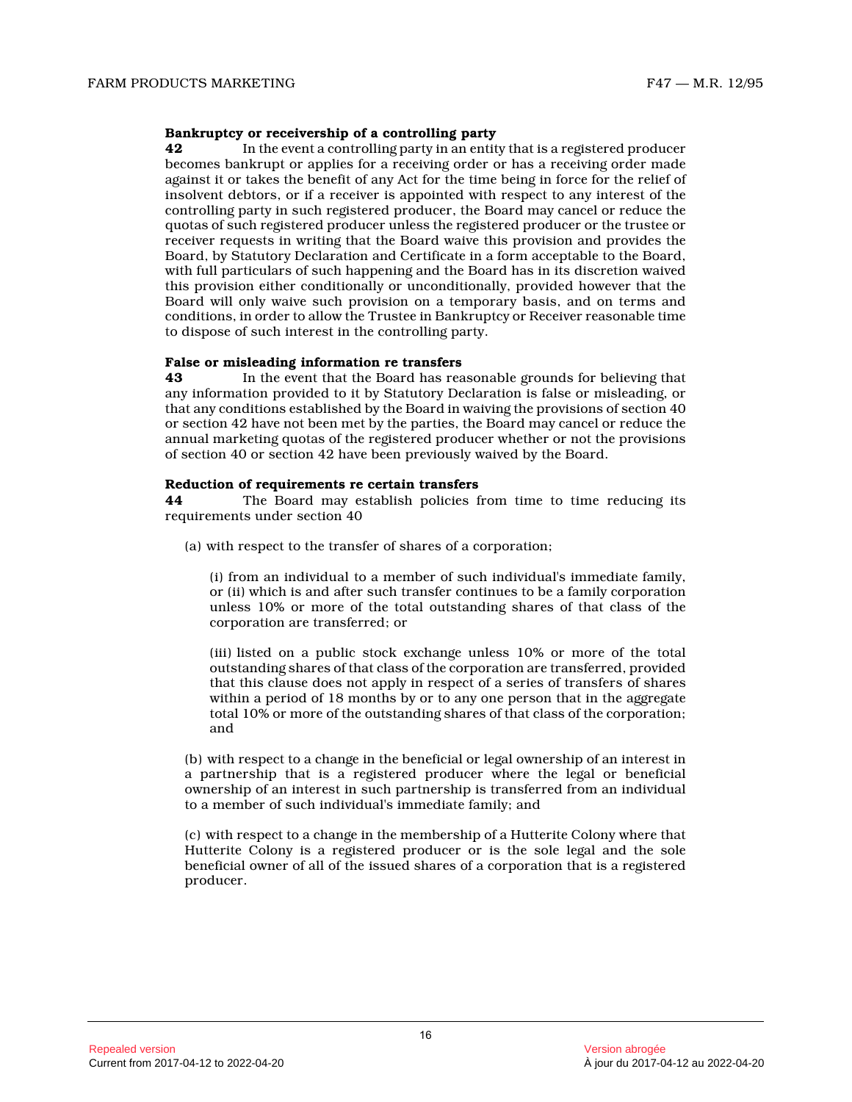#### **Bankruptcy or receivership of a controlling party**

**42** In the event a controlling party in an entity that is a registered producer becomes bankrupt or applies for a receiving order or has a receiving order made against it or takes the benefit of any Act for the time being in force for the relief of insolvent debtors, or if a receiver is appointed with respect to any interest of the controlling party in such registered producer, the Board may cancel or reduce the quotas of such registered producer unless the registered producer or the trustee or receiver requests in writing that the Board waive this provision and provides the Board, by Statutory Declaration and Certificate in a form acceptable to the Board, with full particulars of such happening and the Board has in its discretion waived this provision either conditionally or unconditionally, provided however that the Board will only waive such provision on a temporary basis, and on terms and conditions, in order to allow the Trustee in Bankruptcy or Receiver reasonable time to dispose of such interest in the controlling party.

#### **False or misleading information re transfers**

**43** In the event that the Board has reasonable grounds for believing that any information provided to it by Statutory Declaration is false or misleading, or that any conditions established by the Board in waiving the provisions of section 40 or section 42 have not been met by the parties, the Board may cancel or reduce the annual marketing quotas of the registered producer whether or not the provisions of section 40 or section 42 have been previously waived by the Board.

#### **Reduction of requirements re certain transfers**

**44** The Board may establish policies from time to time reducing its requirements under section 40

(a) with respect to the transfer of shares of a corporation;

(i) from an individual to a member of such individual's immediate family, or (ii) which is and after such transfer continues to be a family corporation unless 10% or more of the total outstanding shares of that class of the corporation are transferred; or

(iii) listed on a public stock exchange unless 10% or more of the total outstanding shares of that class of the corporation are transferred, provided that this clause does not apply in respect of a series of transfers of shares within a period of 18 months by or to any one person that in the aggregate total 10% or more of the outstanding shares of that class of the corporation; and

(b) with respect to a change in the beneficial or legal ownership of an interest in a partnership that is a registered producer where the legal or beneficial ownership of an interest in such partnership is transferred from an individual to a member of such individual's immediate family; and

(c) with respect to a change in the membership of a Hutterite Colony where that Hutterite Colony is a registered producer or is the sole legal and the sole beneficial owner of all of the issued shares of a corporation that is a registered producer.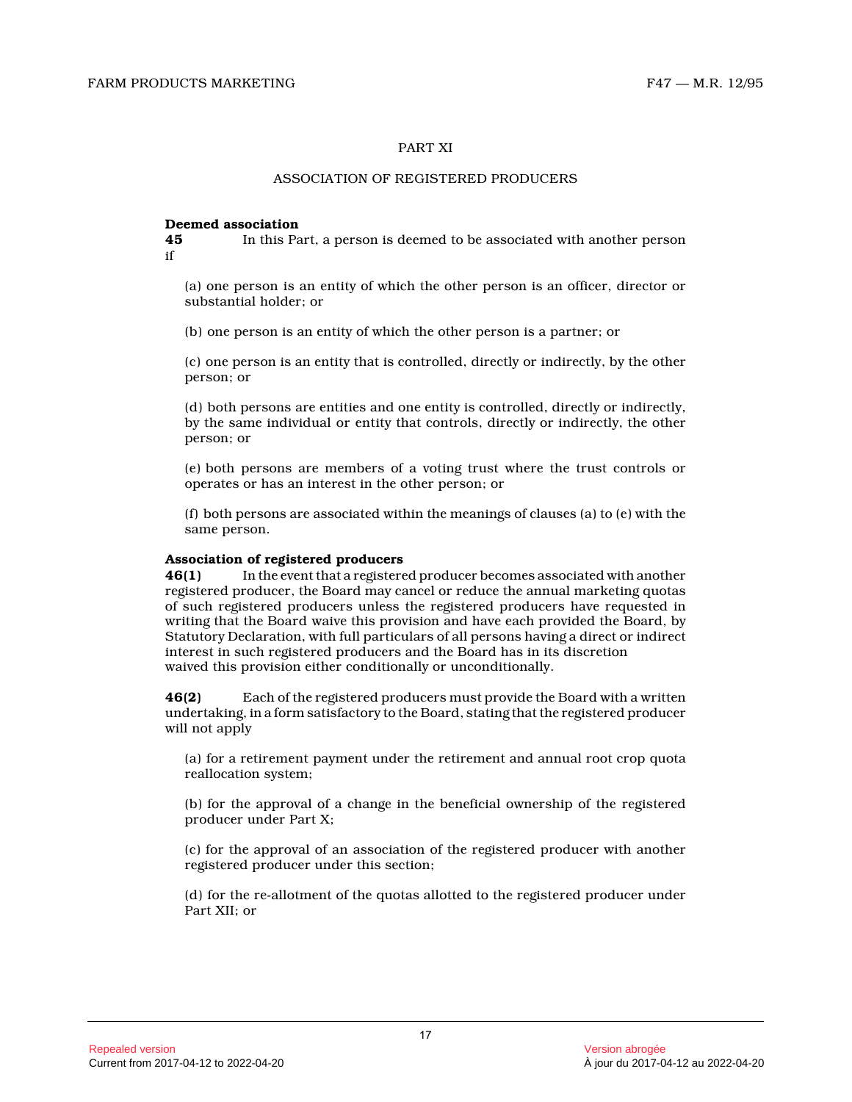#### PART XI

#### ASSOCIATION OF REGISTERED PRODUCERS

# **Deemed association**<br>45 In this Pa

**45** In this Part, a person is deemed to be associated with another person if

(a) one person is an entity of which the other person is an officer, director or substantial holder; or

(b) one person is an entity of which the other person is a partner; or

(c) one person is an entity that is controlled, directly or indirectly, by the other person; or

(d) both persons are entities and one entity is controlled, directly or indirectly, by the same individual or entity that controls, directly or indirectly, the other person; or

(e) both persons are members of a voting trust where the trust controls or operates or has an interest in the other person; or

(f) both persons are associated within the meanings of clauses (a) to (e) with the same person.

#### **Association of registered producers**

**46(1)** In the event that a registered producer becomes associated with another registered producer, the Board may cancel or reduce the annual marketing quotas of such registered producers unless the registered producers have requested in writing that the Board waive this provision and have each provided the Board, by Statutory Declaration, with full particulars of all persons having a direct or indirect interest in such registered producers and the Board has in its discretion waived this provision either conditionally or unconditionally.

**46(2)** Each of the registered producers must provide the Board with a written undertaking, in a form satisfactory to the Board, stating that the registered producer will not apply

(a) for a retirement payment under the retirement and annual root crop quota reallocation system;

(b) for the approval of a change in the beneficial ownership of the registered producer under Part X;

(c) for the approval of an association of the registered producer with another registered producer under this section;

(d) for the re-allotment of the quotas allotted to the registered producer under Part XII; or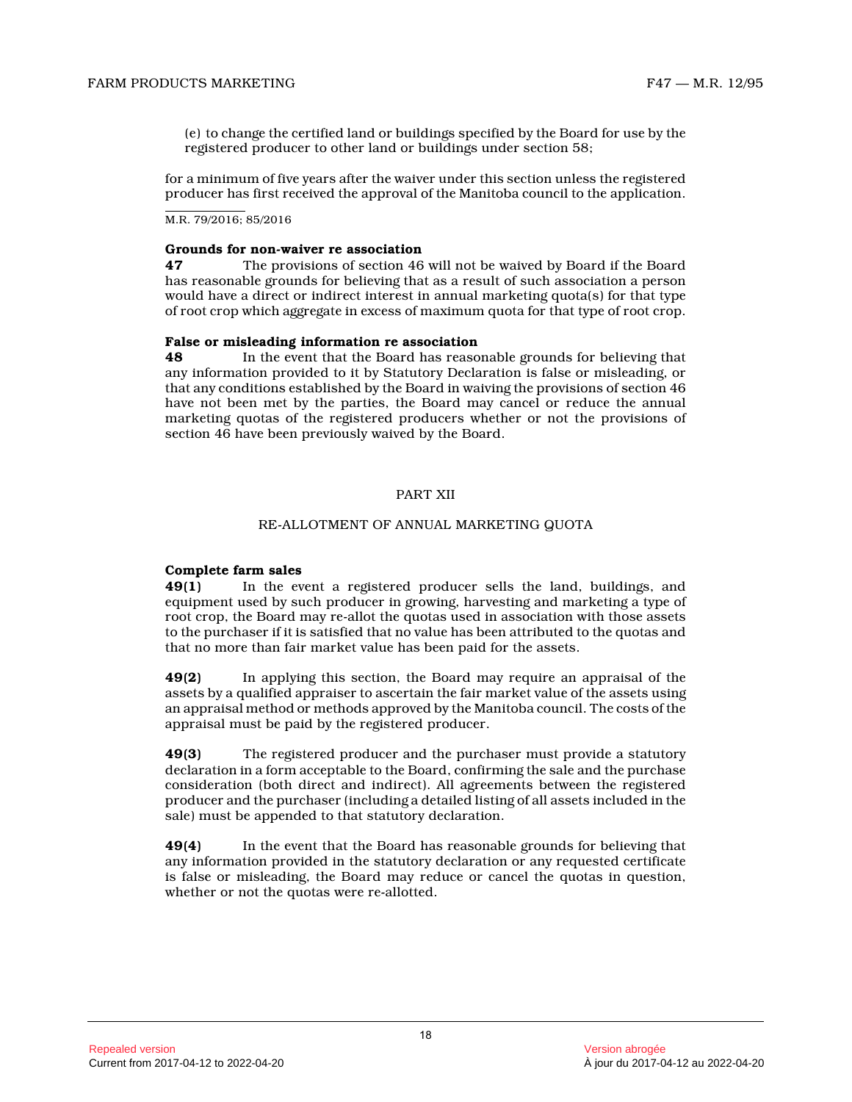(e) to change the certified land or buildings specified by the Board for use by the registered producer to other land or buildings under section 58;

for a minimum of five years after the waiver under this section unless the registered producer has first received the approval of the Manitoba council to the application.

M.R. 79/2016; 85/2016

#### **Grounds for non-waiver re association**

**47** The provisions of section 46 will not be waived by Board if the Board has reasonable grounds for believing that as a result of such association a person would have a direct or indirect interest in annual marketing quota(s) for that type of root crop which aggregate in excess of maximum quota for that type of root crop.

#### **False or misleading information re association**

**48** In the event that the Board has reasonable grounds for believing that any information provided to it by Statutory Declaration is false or misleading, or that any conditions established by the Board in waiving the provisions of section 46 have not been met by the parties, the Board may cancel or reduce the annual marketing quotas of the registered producers whether or not the provisions of section 46 have been previously waived by the Board .

#### PART XII

#### RE-ALLOTMENT OF ANNUAL MARKETING QUOTA

#### **Complete farm sales**

**49(1)** In the event a registered producer sells the land, buildings, and equipment used by such producer in growing, harvesting and marketing a type of root crop, the Board may re-allot the quotas used in association with those assets to the purchaser if it is satisfied that no value has been attributed to the quotas and that no more than fair market value has been paid for the assets.

**49(2)** In applying this section, the Board may require an appraisal of the assets by a qualified appraiser to ascertain the fair market value of the assets using an appraisal method or methods approved by the Manitoba council. The costs of the appraisal must be paid by the registered producer.

**49(3)** The registered producer and the purchaser must provide a statutory declaration in a form acceptable to the Board, confirming the sale and the purchase consideration (both direct and indirect). All agreements between the registered producer and the purchaser (including a detailed listing of all assets included in the sale) must be appended to that statutory declaration.

**49(4)** In the event that the Board has reasonable grounds for believing that any information provided in the statutory declaration or any requested certificate is false or misleading, the Board may reduce or cancel the quotas in question, whether or not the quotas were re-allotted.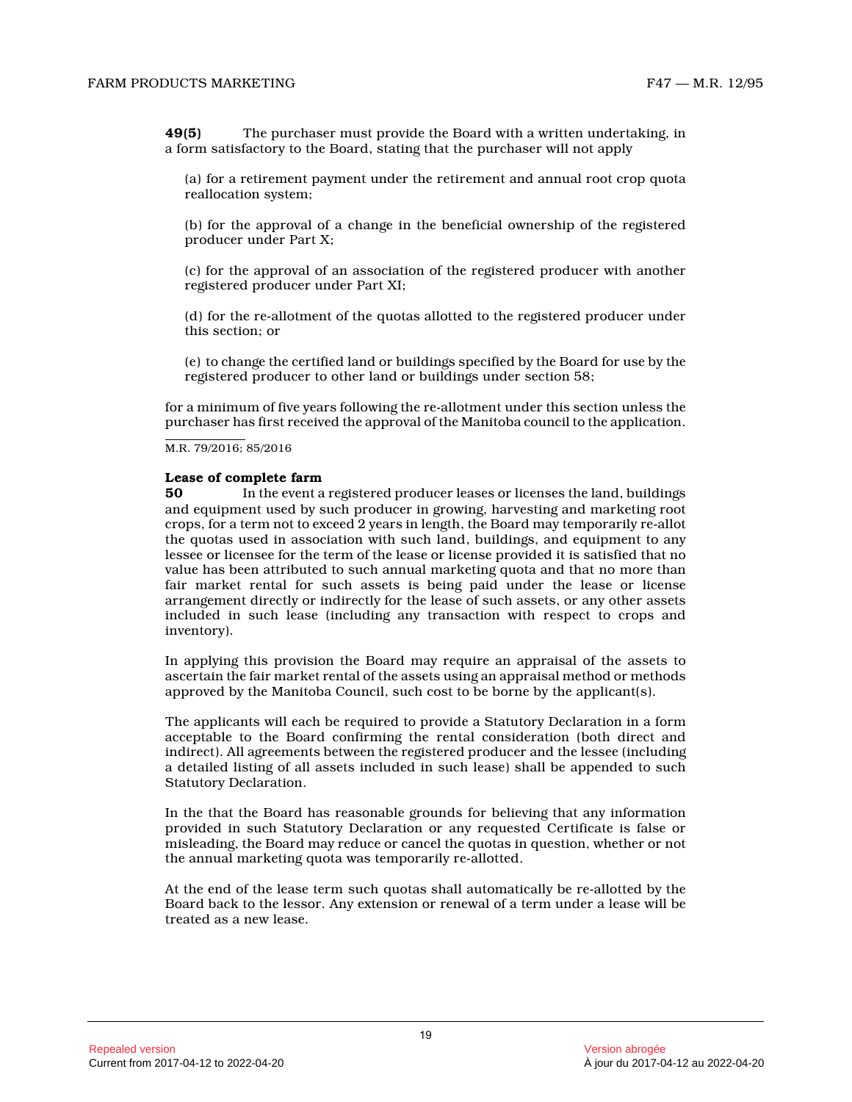**49(5)** The purchaser must provide the Board with a written undertaking, in a form satisfactory to the Board, stating that the purchaser will not apply

(a) for a retirement payment under the retirement and annual root crop quota reallocation system;

(b) for the approval of a change in the beneficial ownership of the registered producer under Part X;

(c) for the approval of an association of the registered producer with another registered producer under Part XI;

(d) for the re-allotment of the quotas allotted to the registered producer under this section; or

(e) to change the certified land or buildings specified by the Board for use by the registered producer to other land or buildings under section 58;

for a minimum of five years following the re-allotment under this section unless the purchaser has first received the approval of the Manitoba council to the application.

M.R. 79/2016; 85/2016

#### **Lease of complete farm**

**50** In the event a registered producer leases or licenses the land, buildings and equipment used by such producer in growing, harvesting and marketing root crops, for a term not to exceed 2 years in length, the Board may temporarily re-allot the quotas used in association with such land, buildings, and equipment to any lessee or licensee for the term of the lease or license provided it is satisfied that no value has been attributed to such annual marketing quota and that no more than fair market rental for such assets is being paid under the lease or license arrangement directly or indirectly for the lease of such assets, or any other assets included in such lease (including any transaction with respect to crops and inventory).

In applying this provision the Board may require an appraisal of the assets to ascertain the fair market rental of the assets using an appraisal method or methods approved by the Manitoba Council, such cost to be borne by the applicant(s).

The applicants will each be required to provide a Statutory Declaration in a form acceptable to the Board confirming the rental consideration (both direct and indirect). All agreements between the registered producer and the lessee (including a detailed listing of all assets included in such lease) shall be appended to such Statutory Declaration.

In the that the Board has reasonable grounds for believing that any information provided in such Statutory Declaration or any requested Certificate is false or misleading, the Board may reduce or cancel the quotas in question, whether or not the annual marketing quota was temporarily re-allotted.

At the end of the lease term such quotas shall automatically be re-allotted by the Board back to the lessor. Any extension or renewal of a term under a lease will be treated as a new lease.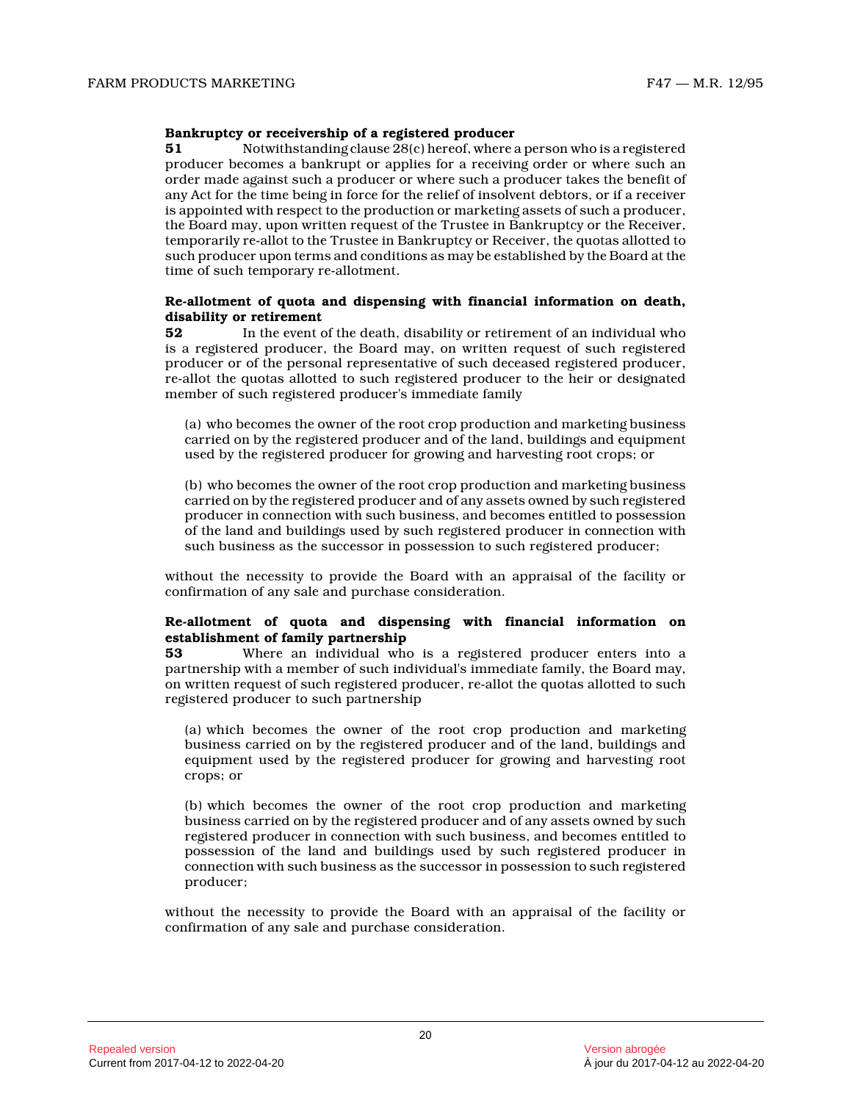#### **Bankruptcy or receivership of a registered producer**

**51** Notwithstanding clause 28(c) hereof, where a person who is a registered producer becomes a bankrupt or applies for a receiving order or where such an order made against such a producer or where such a producer takes the benefit of any Act for the time being in force for the relief of insolvent debtors, or if a receiver is appointed with respect to the production or marketing assets of such a producer, the Board may, upon written request of the Trustee in Bankruptcy or the Receiver, temporarily re-allot to the Trustee in Bankruptcy or Receiver, the quotas allotted to such producer upon terms and conditions as may be established by the Board at the time of such temporary re-allotment.

#### **Re-allotment of quota and dispensing with financial information on death, disability or retirement**

**52** In the event of the death, disability or retirement of an individual who is a registered producer, the Board may, on written request of such registered producer or of the personal representative of such deceased registered producer, re-allot the quotas allotted to such registered producer to the heir or designated member of such registered producer's immediate family

(a) who becomes the owner of the root crop production and marketing business carried on by the registered producer and of the land, buildings and equipment used by the registered producer for growing and harvesting root crops; or

(b) who becomes the owner of the root crop production and marketing business carried on by the registered producer and of any assets owned by such registered producer in connection with such business, and becomes entitled to possession of the land and buildings used by such registered producer in connection with such business as the successor in possession to such registered producer;

without the necessity to provide the Board with an appraisal of the facility or confirmation of any sale and purchase consideration .

# **Re-allotment of quota and dispensing with financial information on establishment of family partnership**<br>53 Where an individual who

**53** Where an individual who is a registered producer enters into a partnership with a member of such individual's immediate family, the Board may, on written request of such registered producer, re-allot the quotas allotted to such registered producer to such partnership

(a) which becomes the owner of the root crop production and marketing business carried on by the registered producer and of the land, buildings and equipment used by the registered producer for growing and harvesting root crops; or

(b) which becomes the owner of the root crop production and marketing business carried on by the registered producer and of any assets owned by such registered producer in connection with such business, and becomes entitled to possession of the land and buildings used by such registered producer in connection with such business as the successor in possession to such registered producer;

without the necessity to provide the Board with an appraisal of the facility or confirmation of any sale and purchase consideration .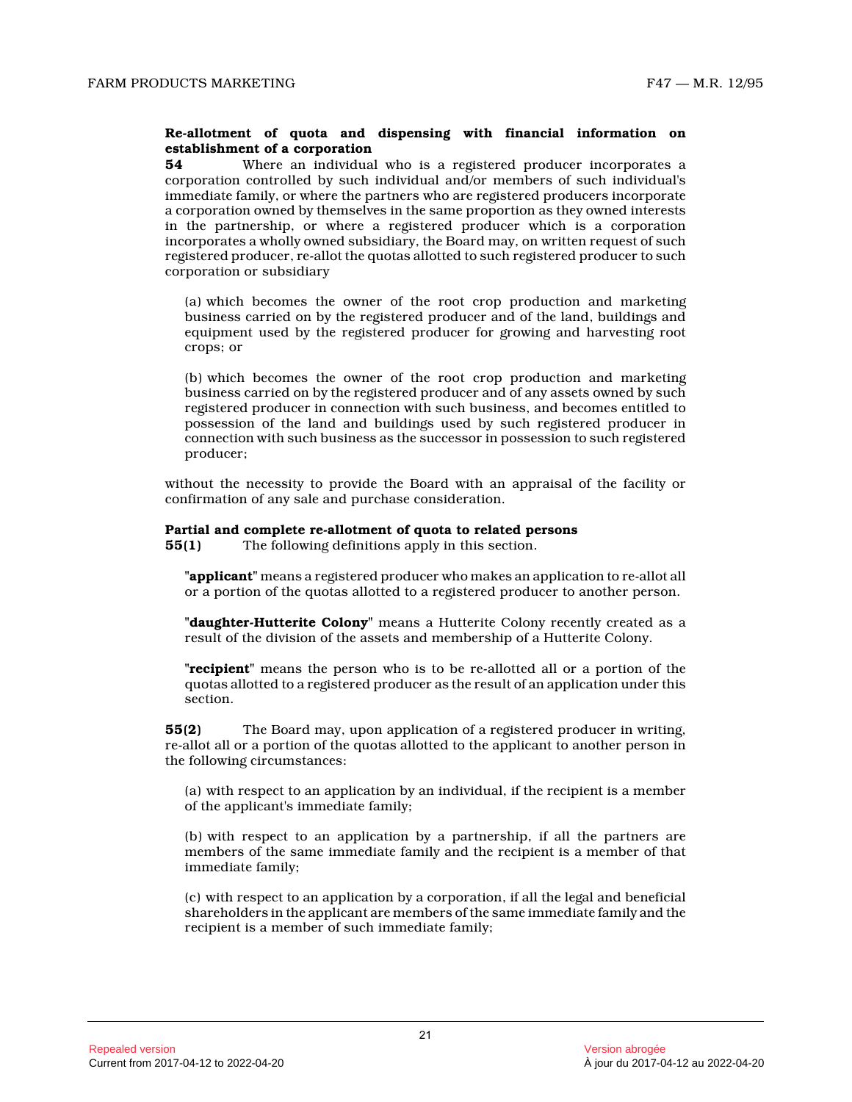#### **Re-allotment of quota and dispensing with financial information on establishment of a corporation**

**54** Where an individual who is a registered producer incorporates a corporation controlled by such individual and/or members of such individual's immediate family, or where the partners who are registered producers incorporate a corporation owned by themselves in the same proportion as they owned interests in the partnership, or where a registered producer which is a corporation incorporates a wholly owned subsidiary, the Board may, on written request of such registered producer, re-allot the quotas allotted to such registered producer to such corporation or subsidiary

(a) which becomes the owner of the root crop production and marketing business carried on by the registered producer and of the land, buildings and equipment used by the registered producer for growing and harvesting root crops; or

(b) which becomes the owner of the root crop production and marketing business carried on by the registered producer and of any assets owned by such registered producer in connection with such business, and becomes entitled to possession of the land and buildings used by such registered producer in connection with such business as the successor in possession to such registered producer;

without the necessity to provide the Board with an appraisal of the facility or confirmation of any sale and purchase consideration .

### **Partial and complete re-allotment of quota to related persons**

**55(1)** The following definitions apply in this section.

**"applicant"** means a registered producer who makes an application to re-allot all or a portion of the quotas allotted to a registered producer to another person.

**"daughter-Hutterite Colony"** means a Hutterite Colony recently created as a result of the division of the assets and membership of a Hutterite Colony.

**"recipient"** means the person who is to be re-allotted all or a portion of the quotas allotted to a registered producer as the result of an application under this section.

**55(2)** The Board may, upon application of a registered producer in writing, re-allot all or a portion of the quotas allotted to the applicant to another person in the following circumstances:

(a) with respect to an application by an individual, if the recipient is a member of the applicant's immediate family;

(b) with respect to an application by a partnership, if all the partners are members of the same immediate family and the recipient is a member of that immediate family;

(c) with respect to an application by a corporation, if all the legal and beneficial shareholders in the applicant are members of the same immediate family and the recipient is a member of such immediate family;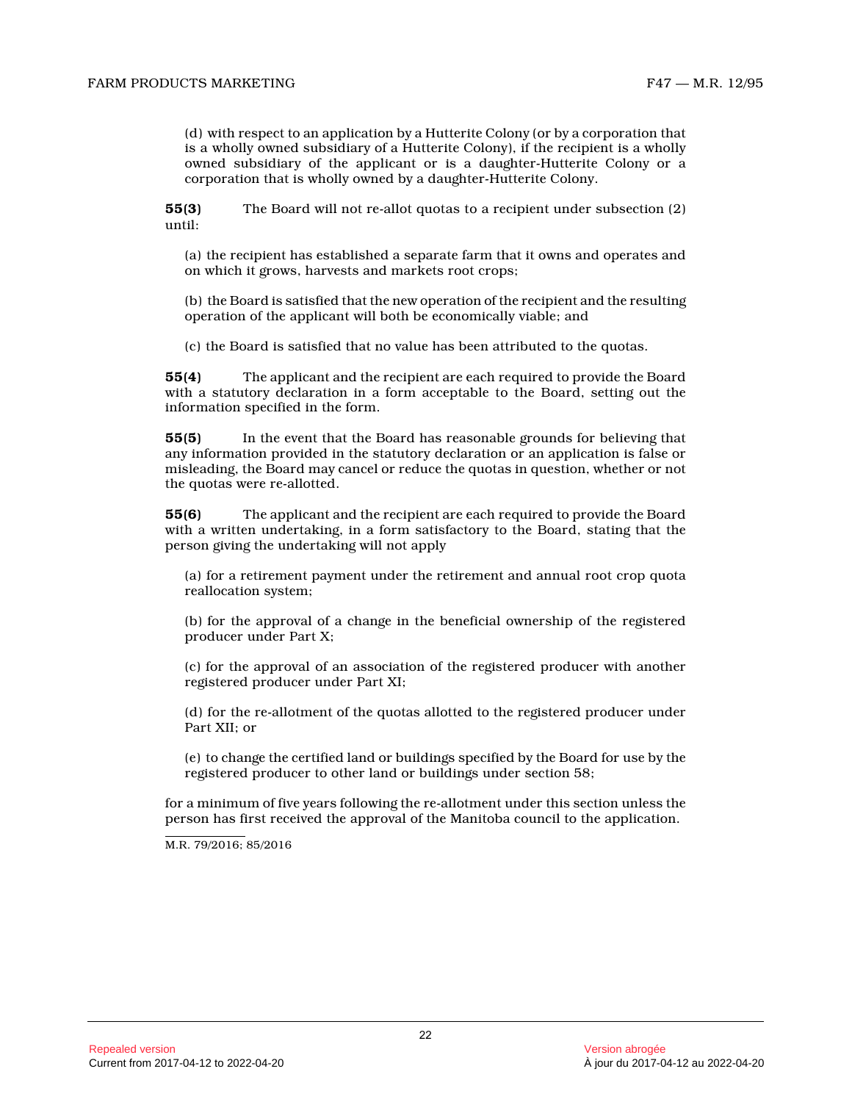(d) with respect to an application by a Hutterite Colony (or by a corporation that is a wholly owned subsidiary of a Hutterite Colony), if the recipient is a wholly owned subsidiary of the applicant or is a daughter-Hutterite Colony or a corporation that is wholly owned by a daughter-Hutterite Colony.

**55(3)** The Board will not re-allot quotas to a recipient under subsection (2) until:

(a) the recipient has established a separate farm that it owns and operates and on which it grows, harvests and markets root crops;

(b) the Board is satisfied that the new operation of the recipient and the resulting operation of the applicant will both be economically viable; and

(c) the Board is satisfied that no value has been attributed to the quotas.

**55(4)** The applicant and the recipient are each required to provide the Board with a statutory declaration in a form acceptable to the Board, setting out the information specified in the form.

**55(5)** In the event that the Board has reasonable grounds for believing that any information provided in the statutory declaration or an application is false or misleading, the Board may cancel or reduce the quotas in question, whether or not the quotas were re-allotted.

**55(6)** The applicant and the recipient are each required to provide the Board with a written undertaking, in a form satisfactory to the Board, stating that the person giving the undertaking will not apply

(a) for a retirement payment under the retirement and annual root crop quota reallocation system;

(b) for the approval of a change in the beneficial ownership of the registered producer under Part X;

(c) for the approval of an association of the registered producer with another registered producer under Part XI;

(d) for the re-allotment of the quotas allotted to the registered producer under Part XII; or

(e) to change the certified land or buildings specified by the Board for use by the registered producer to other land or buildings under section 58;

for a minimum of five years following the re-allotment under this section unless the person has first received the approval of the Manitoba council to the application.

M.R. 79/2016; 85/2016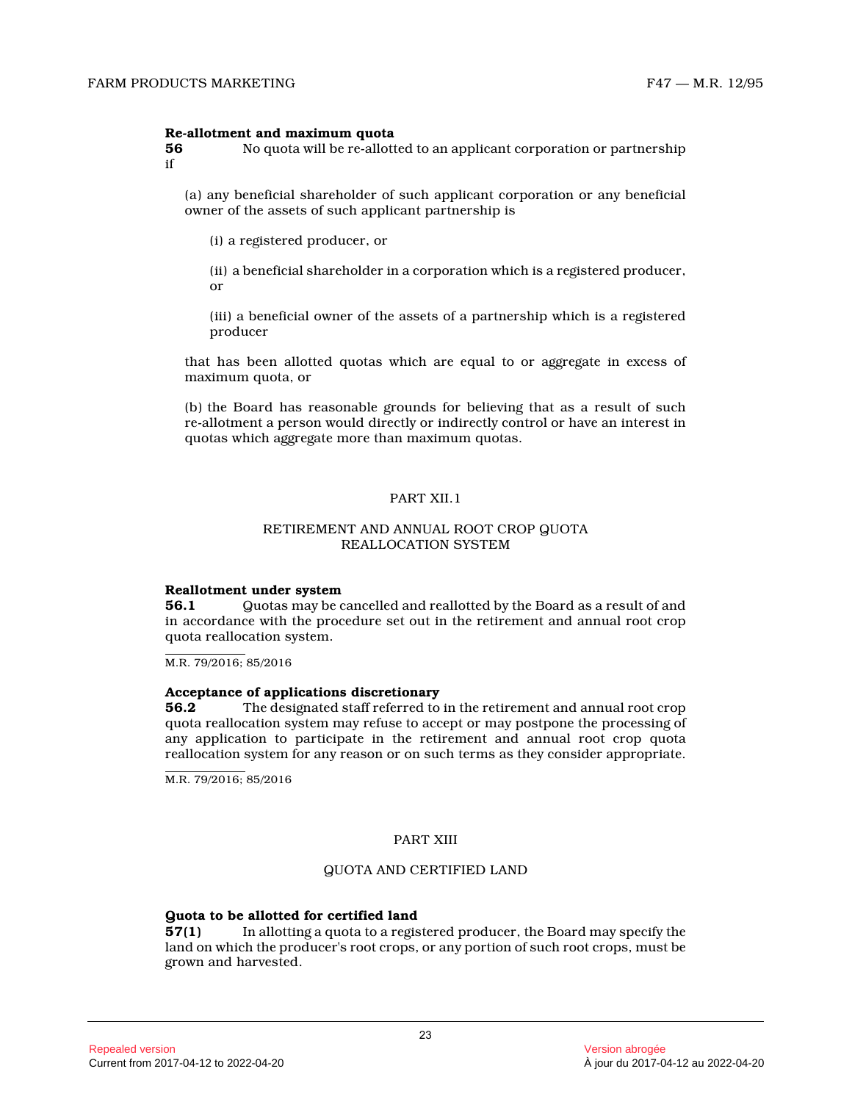# **Re-allotment and maximum quota**<br>56 No quota will be re-allott

**56** No quota will be re-allotted to an applicant corporation or partnership if

(a) any beneficial shareholder of such applicant corporation or any beneficial owner of the assets of such applicant partnership i s

(i) a registered producer, or

(ii) a beneficial shareholder in a corporation which is a registered producer, or

(iii) a beneficial owner of the assets of a partnership which is a registered producer

that has been allotted quotas which are equal to or aggregate in excess of maximum quota, or

(b) the Board has reasonable grounds for believing that as a result of such re-allotment a person would directly or indirectly control or have an interest in quotas which aggregate more than maximum quotas.

# PART XII.1

#### RETIREMENT AND ANNUAL ROOT CROP QUOTA REALLOCATION SYSTEM

#### **Reallotment under system**

**56.1** Quotas may be cancelled and reallotted by the Board as a result of and in accordance with the procedure set out in the retirement and annual root crop quota reallocation system.

M.R. 79/2016; 85/2016

#### **Acceptance of applications discretionary**

**56.2** The designated staff referred to in the retirement and annual root crop quota reallocation system may refuse to accept or may postpone the processing of any application to participate in the retirement and annual root crop quota reallocation system for any reason or on such terms as they consider appropriate.

M.R. 79/2016; 85/2016

#### PART XIII

#### QUOTA AND CERTIFIED LAND

# **Guota to be allotted for certified land**<br>**57(1)** In allotting a quota to a regis

**57(1)** In allotting a quota to a registered producer, the Board may specify the land on which the producer's root crops, or any portion of such root crops, must be grown and harvested.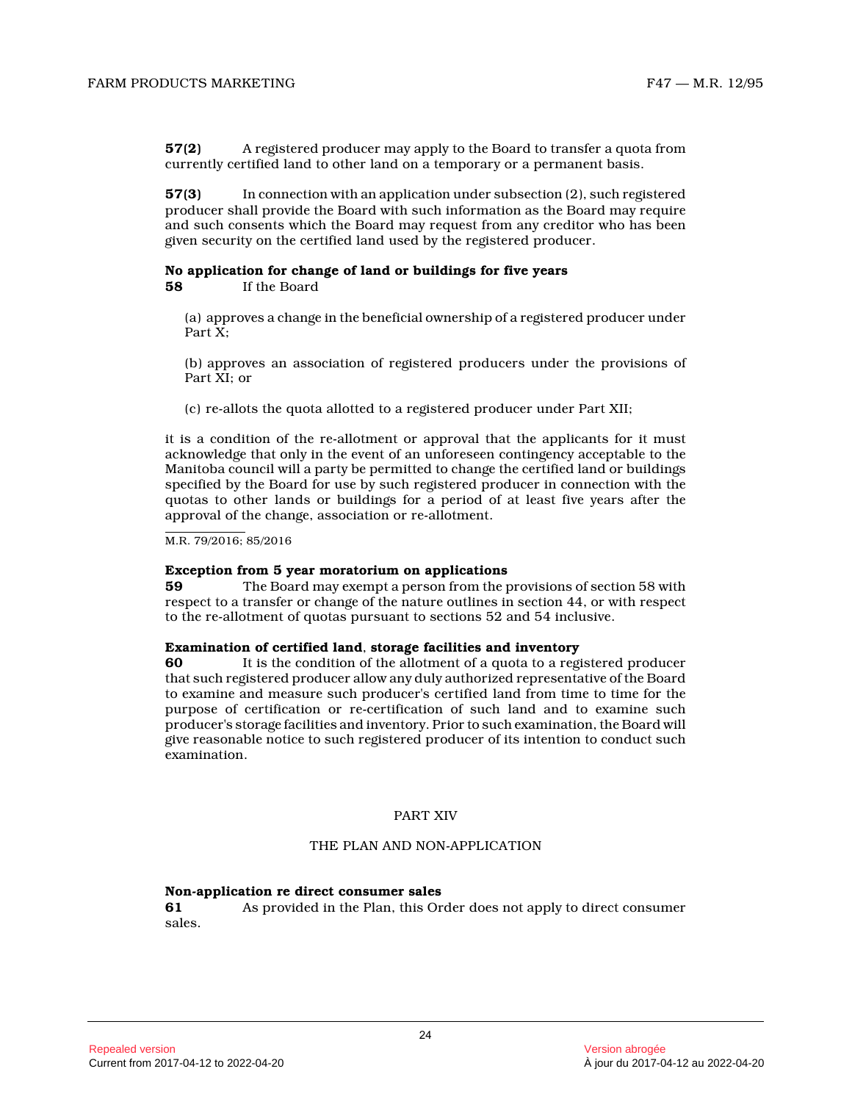**57(2)** A registered producer may apply to the Board to transfer a quota from currently certified land to other land on a temporary or a permanent basis.

**57(3)** In connection with an application under subsection (2), such registered producer shall provide the Board with such information as the Board may require and such consents which the Board may request from any creditor who has been given security on the certified land used by the registered producer.

# **No application for change of land or buildings for five years**

**58** If the Board

(a) approves a change in the beneficial ownership of a registered producer under Part X:

(b) approves an association of registered producers under the provisions of Part XI; or

(c) re-allots the quota allotted to a registered producer under Part XII;

it is a condition of the re-allotment or approval that the applicants for it must acknowledge that only in the event of an unforeseen contingency acceptable to the Manitoba council will a party be permitted to change the certified land or buildings specified by the Board for use by such registered producer in connection with the quotas to other lands or buildings for a period of at least five years after the approval of the change, association or re-allotment .

M.R. 79/2016; 85/2016

#### **Exception from 5 year moratorium on applications**

**59** The Board may exempt a person from the provisions of section 58 with respect to a transfer or change of the nature outlines in section 44, or with respect to the re-allotment of quotas pursuant to sections 52 and 54 inclusive.

#### **Examination of certified land**, **storage facilities and inventory**

**60** It is the condition of the allotment of a quota to a registered producer that such registered producer allow any duly authorized representative of the Board to examine and measure such producer's certified land from time to time for the purpose of certification or re-certification of such land and to examine such producer's storage facilities and inventory. Prior to such examination, the Board will give reasonable notice to such registered producer of its intention to conduct such examination.

#### PART XIV

#### THE PLAN AND NON-APPLICATION

#### **Non-application re direct consumer sales**

**61** As provided in the Plan, this Order does not apply to direct consumer sales.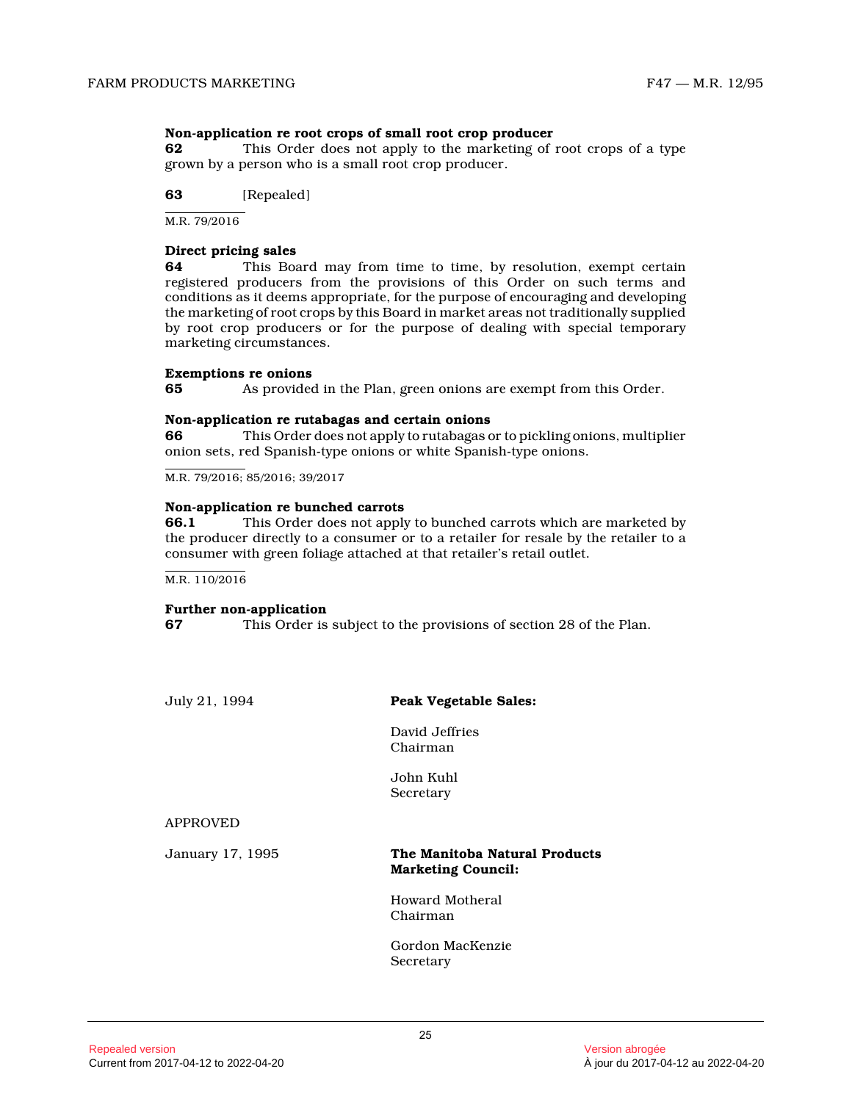#### **Non-application re root crops of small root crop producer**

**62** This Order does not apply to the marketing of root crops of a type grown by a person who is a small root crop producer .

**63** [Repealed]

M.R. 79/2016

#### **Direct pricing sales**

**64** This Board may from time to time, by resolution, exempt certain registered producers from the provisions of this Order on such terms and conditions as it deems appropriate, for the purpose of encouraging and developing the marketing of root crops by this Board in market areas not traditionally supplied by root crop producers or for the purpose of dealing with special temporary marketing circumstances.

#### **Exemptions re onions**

**65** As provided in the Plan, green onions are exempt from this Order.

#### **Non-application re rutabagas and certain onions**

**66** This Order does not apply to rutabagas or to pickling onions, multiplier onion sets, red Spanish-type onions or white Spanish-type onions.

M.R. 79/2016; 85/2016; 39/2017

#### **Non-application re bunched carrots**

**66.1** This Order does not apply to bunched carrots which are marketed by the producer directly to a consumer or to a retailer for resale by the retailer to a consumer with green foliage attached at that retailer's retail outlet.

M.R. 110/2016

#### **Further non-application**

**67** This Order is subject to the provisions of section 28 of the Plan.

July 21, 1994 **Peak Vegetable Sales:**

David Jeffries Chairman

John Kuhl Secretary

APPROVED

#### January 17, 1995 **The Manitoba Natural Products Marketing Council:**

Howard Motheral Chairman

Gordon MacKenzie Secretary